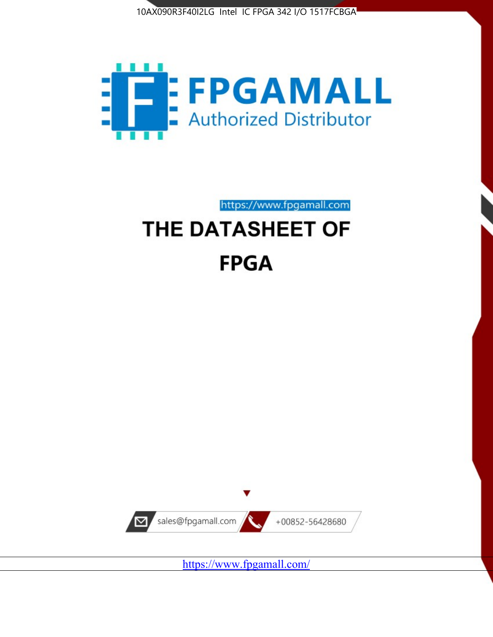



https://www.fpgamall.com

# THE DATASHEET OF **FPGA**



<https://www.fpgamall.com/>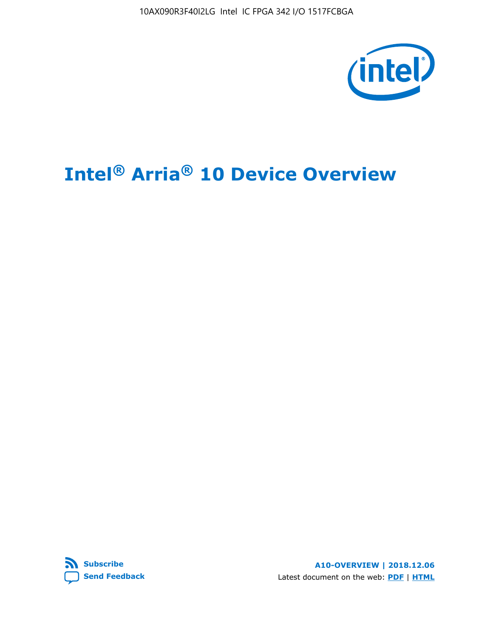

# **Intel® Arria® 10 Device Overview**



**A10-OVERVIEW | 2018.12.06** Latest document on the web: **[PDF](https://www.intel.com/content/dam/www/programmable/us/en/pdfs/literature/hb/arria-10/a10_overview.pdf)** | **[HTML](https://www.intel.com/content/www/us/en/programmable/documentation/sam1403480274650.html)**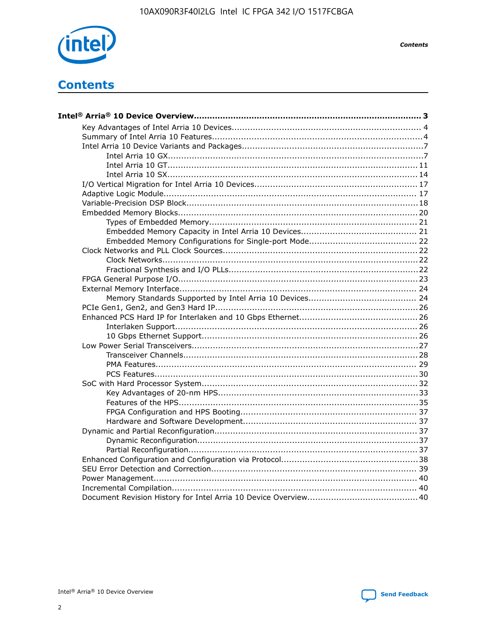

**Contents** 

# **Contents**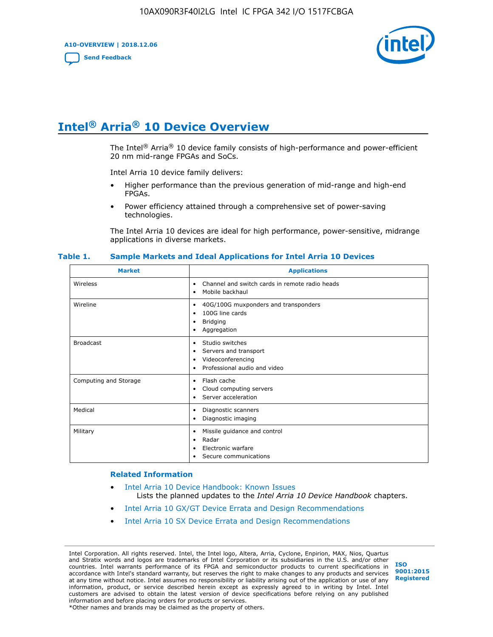**A10-OVERVIEW | 2018.12.06**

**[Send Feedback](mailto:FPGAtechdocfeedback@intel.com?subject=Feedback%20on%20Intel%20Arria%2010%20Device%20Overview%20(A10-OVERVIEW%202018.12.06)&body=We%20appreciate%20your%20feedback.%20In%20your%20comments,%20also%20specify%20the%20page%20number%20or%20paragraph.%20Thank%20you.)**



# **Intel® Arria® 10 Device Overview**

The Intel<sup>®</sup> Arria<sup>®</sup> 10 device family consists of high-performance and power-efficient 20 nm mid-range FPGAs and SoCs.

Intel Arria 10 device family delivers:

- Higher performance than the previous generation of mid-range and high-end FPGAs.
- Power efficiency attained through a comprehensive set of power-saving technologies.

The Intel Arria 10 devices are ideal for high performance, power-sensitive, midrange applications in diverse markets.

| <b>Market</b>         | <b>Applications</b>                                                                                               |
|-----------------------|-------------------------------------------------------------------------------------------------------------------|
| Wireless              | Channel and switch cards in remote radio heads<br>٠<br>Mobile backhaul<br>٠                                       |
| Wireline              | 40G/100G muxponders and transponders<br>٠<br>100G line cards<br>٠<br><b>Bridging</b><br>٠<br>Aggregation<br>٠     |
| <b>Broadcast</b>      | Studio switches<br>٠<br>Servers and transport<br>٠<br>Videoconferencing<br>٠<br>Professional audio and video<br>٠ |
| Computing and Storage | Flash cache<br>٠<br>Cloud computing servers<br>٠<br>Server acceleration<br>٠                                      |
| Medical               | Diagnostic scanners<br>٠<br>Diagnostic imaging<br>٠                                                               |
| Military              | Missile guidance and control<br>٠<br>Radar<br>٠<br>Electronic warfare<br>٠<br>Secure communications<br>٠          |

#### **Table 1. Sample Markets and Ideal Applications for Intel Arria 10 Devices**

#### **Related Information**

- [Intel Arria 10 Device Handbook: Known Issues](http://www.altera.com/support/kdb/solutions/rd07302013_646.html) Lists the planned updates to the *Intel Arria 10 Device Handbook* chapters.
- [Intel Arria 10 GX/GT Device Errata and Design Recommendations](https://www.intel.com/content/www/us/en/programmable/documentation/agz1493851706374.html#yqz1494433888646)
- [Intel Arria 10 SX Device Errata and Design Recommendations](https://www.intel.com/content/www/us/en/programmable/documentation/cru1462832385668.html#cru1462832558642)

Intel Corporation. All rights reserved. Intel, the Intel logo, Altera, Arria, Cyclone, Enpirion, MAX, Nios, Quartus and Stratix words and logos are trademarks of Intel Corporation or its subsidiaries in the U.S. and/or other countries. Intel warrants performance of its FPGA and semiconductor products to current specifications in accordance with Intel's standard warranty, but reserves the right to make changes to any products and services at any time without notice. Intel assumes no responsibility or liability arising out of the application or use of any information, product, or service described herein except as expressly agreed to in writing by Intel. Intel customers are advised to obtain the latest version of device specifications before relying on any published information and before placing orders for products or services. \*Other names and brands may be claimed as the property of others.

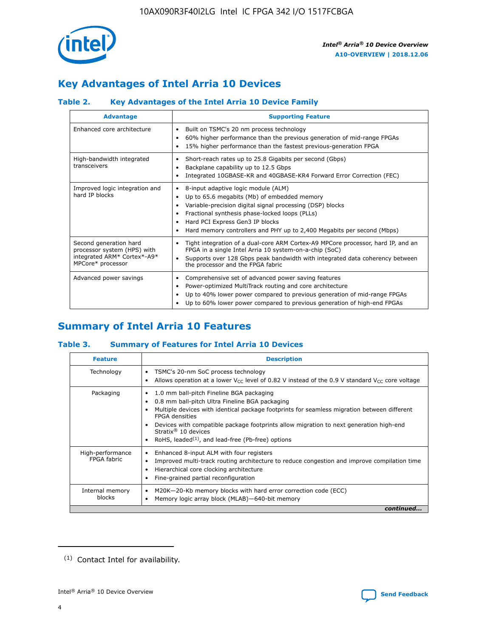

# **Key Advantages of Intel Arria 10 Devices**

# **Table 2. Key Advantages of the Intel Arria 10 Device Family**

| <b>Advantage</b>                                                                                          | <b>Supporting Feature</b>                                                                                                                                                                                                                                                                                                |  |  |  |  |  |
|-----------------------------------------------------------------------------------------------------------|--------------------------------------------------------------------------------------------------------------------------------------------------------------------------------------------------------------------------------------------------------------------------------------------------------------------------|--|--|--|--|--|
| Enhanced core architecture                                                                                | Built on TSMC's 20 nm process technology<br>٠<br>60% higher performance than the previous generation of mid-range FPGAs<br>٠<br>15% higher performance than the fastest previous-generation FPGA<br>٠                                                                                                                    |  |  |  |  |  |
| High-bandwidth integrated<br>transceivers                                                                 | Short-reach rates up to 25.8 Gigabits per second (Gbps)<br>٠<br>Backplane capability up to 12.5 Gbps<br>٠<br>Integrated 10GBASE-KR and 40GBASE-KR4 Forward Error Correction (FEC)<br>٠                                                                                                                                   |  |  |  |  |  |
| Improved logic integration and<br>hard IP blocks                                                          | 8-input adaptive logic module (ALM)<br>٠<br>Up to 65.6 megabits (Mb) of embedded memory<br>٠<br>Variable-precision digital signal processing (DSP) blocks<br>Fractional synthesis phase-locked loops (PLLs)<br>Hard PCI Express Gen3 IP blocks<br>Hard memory controllers and PHY up to 2,400 Megabits per second (Mbps) |  |  |  |  |  |
| Second generation hard<br>processor system (HPS) with<br>integrated ARM* Cortex*-A9*<br>MPCore* processor | Tight integration of a dual-core ARM Cortex-A9 MPCore processor, hard IP, and an<br>٠<br>FPGA in a single Intel Arria 10 system-on-a-chip (SoC)<br>Supports over 128 Gbps peak bandwidth with integrated data coherency between<br>$\bullet$<br>the processor and the FPGA fabric                                        |  |  |  |  |  |
| Advanced power savings                                                                                    | Comprehensive set of advanced power saving features<br>٠<br>Power-optimized MultiTrack routing and core architecture<br>٠<br>Up to 40% lower power compared to previous generation of mid-range FPGAs<br>٠<br>Up to 60% lower power compared to previous generation of high-end FPGAs                                    |  |  |  |  |  |

# **Summary of Intel Arria 10 Features**

## **Table 3. Summary of Features for Intel Arria 10 Devices**

| <b>Feature</b>                  | <b>Description</b>                                                                                                                                                                                                                                                                                                                                                                                 |
|---------------------------------|----------------------------------------------------------------------------------------------------------------------------------------------------------------------------------------------------------------------------------------------------------------------------------------------------------------------------------------------------------------------------------------------------|
| Technology                      | TSMC's 20-nm SoC process technology<br>Allows operation at a lower $V_{\text{CC}}$ level of 0.82 V instead of the 0.9 V standard $V_{\text{CC}}$ core voltage                                                                                                                                                                                                                                      |
| Packaging                       | 1.0 mm ball-pitch Fineline BGA packaging<br>٠<br>0.8 mm ball-pitch Ultra Fineline BGA packaging<br>Multiple devices with identical package footprints for seamless migration between different<br><b>FPGA</b> densities<br>Devices with compatible package footprints allow migration to next generation high-end<br>Stratix $@10$ devices<br>RoHS, leaded $(1)$ , and lead-free (Pb-free) options |
| High-performance<br>FPGA fabric | Enhanced 8-input ALM with four registers<br>Improved multi-track routing architecture to reduce congestion and improve compilation time<br>Hierarchical core clocking architecture<br>Fine-grained partial reconfiguration                                                                                                                                                                         |
| Internal memory<br>blocks       | M20K-20-Kb memory blocks with hard error correction code (ECC)<br>Memory logic array block (MLAB)-640-bit memory                                                                                                                                                                                                                                                                                   |
|                                 | continued                                                                                                                                                                                                                                                                                                                                                                                          |



<sup>(1)</sup> Contact Intel for availability.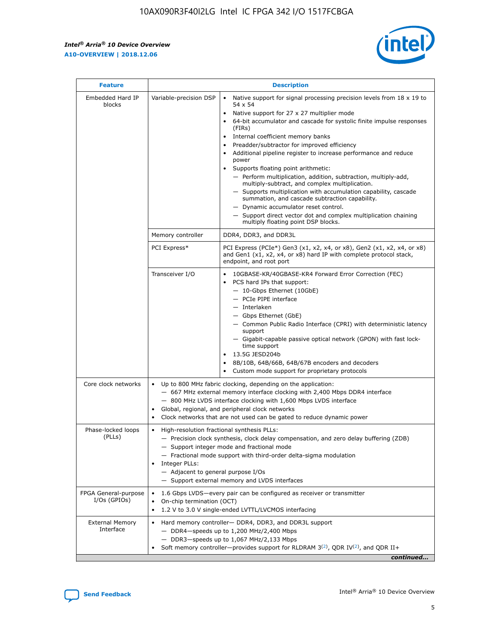r



| <b>Feature</b>                         |                                                                                                                                                                                                                                                                           | <b>Description</b>                                                                                                                                                                                                                                                                                                                                                                                                                                                                                                                                                                                                                                                                                                                                                                                                                                               |  |  |  |  |
|----------------------------------------|---------------------------------------------------------------------------------------------------------------------------------------------------------------------------------------------------------------------------------------------------------------------------|------------------------------------------------------------------------------------------------------------------------------------------------------------------------------------------------------------------------------------------------------------------------------------------------------------------------------------------------------------------------------------------------------------------------------------------------------------------------------------------------------------------------------------------------------------------------------------------------------------------------------------------------------------------------------------------------------------------------------------------------------------------------------------------------------------------------------------------------------------------|--|--|--|--|
| Embedded Hard IP<br>blocks             | Variable-precision DSP                                                                                                                                                                                                                                                    | Native support for signal processing precision levels from $18 \times 19$ to<br>$\bullet$<br>54 x 54<br>Native support for 27 x 27 multiplier mode<br>$\bullet$<br>64-bit accumulator and cascade for systolic finite impulse responses<br>(FIRs)<br>Internal coefficient memory banks<br>$\bullet$<br>Preadder/subtractor for improved efficiency<br>Additional pipeline register to increase performance and reduce<br>power<br>Supports floating point arithmetic:<br>- Perform multiplication, addition, subtraction, multiply-add,<br>multiply-subtract, and complex multiplication.<br>- Supports multiplication with accumulation capability, cascade<br>summation, and cascade subtraction capability.<br>- Dynamic accumulator reset control.<br>- Support direct vector dot and complex multiplication chaining<br>multiply floating point DSP blocks. |  |  |  |  |
|                                        | Memory controller                                                                                                                                                                                                                                                         | DDR4, DDR3, and DDR3L                                                                                                                                                                                                                                                                                                                                                                                                                                                                                                                                                                                                                                                                                                                                                                                                                                            |  |  |  |  |
|                                        | PCI Express*                                                                                                                                                                                                                                                              | PCI Express (PCIe*) Gen3 (x1, x2, x4, or x8), Gen2 (x1, x2, x4, or x8)<br>and Gen1 (x1, x2, x4, or x8) hard IP with complete protocol stack,<br>endpoint, and root port                                                                                                                                                                                                                                                                                                                                                                                                                                                                                                                                                                                                                                                                                          |  |  |  |  |
|                                        | Transceiver I/O                                                                                                                                                                                                                                                           | 10GBASE-KR/40GBASE-KR4 Forward Error Correction (FEC)<br>PCS hard IPs that support:<br>- 10-Gbps Ethernet (10GbE)<br>- PCIe PIPE interface<br>- Interlaken<br>- Gbps Ethernet (GbE)<br>- Common Public Radio Interface (CPRI) with deterministic latency<br>support<br>- Gigabit-capable passive optical network (GPON) with fast lock-<br>time support<br>13.5G JESD204b<br>$\bullet$<br>8B/10B, 64B/66B, 64B/67B encoders and decoders<br>Custom mode support for proprietary protocols                                                                                                                                                                                                                                                                                                                                                                        |  |  |  |  |
| Core clock networks                    | $\bullet$                                                                                                                                                                                                                                                                 | Up to 800 MHz fabric clocking, depending on the application:<br>- 667 MHz external memory interface clocking with 2,400 Mbps DDR4 interface<br>- 800 MHz LVDS interface clocking with 1,600 Mbps LVDS interface<br>Global, regional, and peripheral clock networks<br>Clock networks that are not used can be gated to reduce dynamic power                                                                                                                                                                                                                                                                                                                                                                                                                                                                                                                      |  |  |  |  |
| Phase-locked loops<br>(PLLs)           | High-resolution fractional synthesis PLLs:<br>$\bullet$<br>Integer PLLs:<br>- Adjacent to general purpose I/Os                                                                                                                                                            | - Precision clock synthesis, clock delay compensation, and zero delay buffering (ZDB)<br>- Support integer mode and fractional mode<br>- Fractional mode support with third-order delta-sigma modulation<br>- Support external memory and LVDS interfaces                                                                                                                                                                                                                                                                                                                                                                                                                                                                                                                                                                                                        |  |  |  |  |
| FPGA General-purpose<br>$I/Os$ (GPIOs) | On-chip termination (OCT)<br>٠<br>$\bullet$                                                                                                                                                                                                                               | 1.6 Gbps LVDS-every pair can be configured as receiver or transmitter<br>1.2 V to 3.0 V single-ended LVTTL/LVCMOS interfacing                                                                                                                                                                                                                                                                                                                                                                                                                                                                                                                                                                                                                                                                                                                                    |  |  |  |  |
| <b>External Memory</b><br>Interface    | Hard memory controller- DDR4, DDR3, and DDR3L support<br>$\bullet$<br>$-$ DDR4-speeds up to 1,200 MHz/2,400 Mbps<br>- DDR3-speeds up to 1,067 MHz/2,133 Mbps<br>Soft memory controller—provides support for RLDRAM $3^{(2)}$ , QDR IV $^{(2)}$ , and QDR II+<br>continued |                                                                                                                                                                                                                                                                                                                                                                                                                                                                                                                                                                                                                                                                                                                                                                                                                                                                  |  |  |  |  |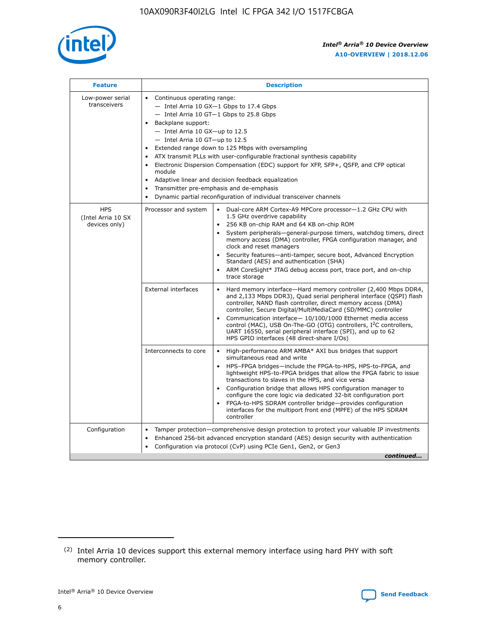

| <b>Feature</b>                                    | <b>Description</b>                                                                                                                                                                                                                                                                                                                                                                                                                                                                                                                                                                                                                                      |  |  |  |  |  |  |  |  |
|---------------------------------------------------|---------------------------------------------------------------------------------------------------------------------------------------------------------------------------------------------------------------------------------------------------------------------------------------------------------------------------------------------------------------------------------------------------------------------------------------------------------------------------------------------------------------------------------------------------------------------------------------------------------------------------------------------------------|--|--|--|--|--|--|--|--|
| Low-power serial<br>transceivers                  | • Continuous operating range:<br>- Intel Arria 10 GX-1 Gbps to 17.4 Gbps<br>- Intel Arria 10 GT-1 Gbps to 25.8 Gbps<br>Backplane support:<br>$-$ Intel Arria 10 GX-up to 12.5<br>- Intel Arria 10 GT-up to 12.5<br>Extended range down to 125 Mbps with oversampling<br>ATX transmit PLLs with user-configurable fractional synthesis capability<br>• Electronic Dispersion Compensation (EDC) support for XFP, SFP+, QSFP, and CFP optical<br>module<br>Adaptive linear and decision feedback equalization<br>$\bullet$<br>Transmitter pre-emphasis and de-emphasis<br>$\bullet$<br>Dynamic partial reconfiguration of individual transceiver channels |  |  |  |  |  |  |  |  |
| <b>HPS</b><br>(Intel Arria 10 SX<br>devices only) | Processor and system<br>Dual-core ARM Cortex-A9 MPCore processor-1.2 GHz CPU with<br>$\bullet$<br>1.5 GHz overdrive capability<br>• 256 KB on-chip RAM and 64 KB on-chip ROM<br>System peripherals-general-purpose timers, watchdog timers, direct<br>memory access (DMA) controller, FPGA configuration manager, and<br>clock and reset managers<br>• Security features—anti-tamper, secure boot, Advanced Encryption<br>Standard (AES) and authentication (SHA)<br>ARM CoreSight* JTAG debug access port, trace port, and on-chip<br>trace storage                                                                                                    |  |  |  |  |  |  |  |  |
|                                                   | <b>External interfaces</b><br>Hard memory interface—Hard memory controller (2,400 Mbps DDR4,<br>$\bullet$<br>and 2,133 Mbps DDR3), Quad serial peripheral interface (QSPI) flash<br>controller, NAND flash controller, direct memory access (DMA)<br>controller, Secure Digital/MultiMediaCard (SD/MMC) controller<br>Communication interface-10/100/1000 Ethernet media access<br>control (MAC), USB On-The-GO (OTG) controllers, I <sup>2</sup> C controllers,<br>UART 16550, serial peripheral interface (SPI), and up to 62<br>HPS GPIO interfaces (48 direct-share I/Os)                                                                           |  |  |  |  |  |  |  |  |
|                                                   | High-performance ARM AMBA* AXI bus bridges that support<br>Interconnects to core<br>$\bullet$<br>simultaneous read and write<br>HPS-FPGA bridges—include the FPGA-to-HPS, HPS-to-FPGA, and<br>lightweight HPS-to-FPGA bridges that allow the FPGA fabric to issue<br>transactions to slaves in the HPS, and vice versa<br>Configuration bridge that allows HPS configuration manager to<br>configure the core logic via dedicated 32-bit configuration port<br>FPGA-to-HPS SDRAM controller bridge-provides configuration<br>interfaces for the multiport front end (MPFE) of the HPS SDRAM<br>controller                                               |  |  |  |  |  |  |  |  |
| Configuration                                     | Tamper protection—comprehensive design protection to protect your valuable IP investments<br>Enhanced 256-bit advanced encryption standard (AES) design security with authentication<br>٠<br>Configuration via protocol (CvP) using PCIe Gen1, Gen2, or Gen3<br>continued                                                                                                                                                                                                                                                                                                                                                                               |  |  |  |  |  |  |  |  |

<sup>(2)</sup> Intel Arria 10 devices support this external memory interface using hard PHY with soft memory controller.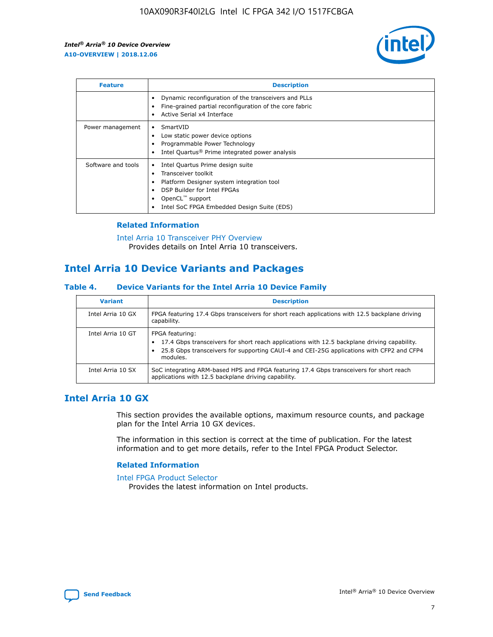

| <b>Feature</b>     | <b>Description</b>                                                                                                                                                                                                    |
|--------------------|-----------------------------------------------------------------------------------------------------------------------------------------------------------------------------------------------------------------------|
|                    | Dynamic reconfiguration of the transceivers and PLLs<br>Fine-grained partial reconfiguration of the core fabric<br>Active Serial x4 Interface                                                                         |
| Power management   | SmartVID<br>Low static power device options<br>Programmable Power Technology<br>Intel Quartus <sup>®</sup> Prime integrated power analysis                                                                            |
| Software and tools | Intel Quartus Prime design suite<br>Transceiver toolkit<br>٠<br>Platform Designer system integration tool<br>DSP Builder for Intel FPGAs<br>OpenCL <sup>™</sup> support<br>Intel SoC FPGA Embedded Design Suite (EDS) |

## **Related Information**

[Intel Arria 10 Transceiver PHY Overview](https://www.intel.com/content/www/us/en/programmable/documentation/nik1398707230472.html#nik1398706768037) Provides details on Intel Arria 10 transceivers.

# **Intel Arria 10 Device Variants and Packages**

#### **Table 4. Device Variants for the Intel Arria 10 Device Family**

| <b>Variant</b>    | <b>Description</b>                                                                                                                                                                                                     |
|-------------------|------------------------------------------------------------------------------------------------------------------------------------------------------------------------------------------------------------------------|
| Intel Arria 10 GX | FPGA featuring 17.4 Gbps transceivers for short reach applications with 12.5 backplane driving<br>capability.                                                                                                          |
| Intel Arria 10 GT | FPGA featuring:<br>17.4 Gbps transceivers for short reach applications with 12.5 backplane driving capability.<br>25.8 Gbps transceivers for supporting CAUI-4 and CEI-25G applications with CFP2 and CFP4<br>modules. |
| Intel Arria 10 SX | SoC integrating ARM-based HPS and FPGA featuring 17.4 Gbps transceivers for short reach<br>applications with 12.5 backplane driving capability.                                                                        |

# **Intel Arria 10 GX**

This section provides the available options, maximum resource counts, and package plan for the Intel Arria 10 GX devices.

The information in this section is correct at the time of publication. For the latest information and to get more details, refer to the Intel FPGA Product Selector.

#### **Related Information**

#### [Intel FPGA Product Selector](http://www.altera.com/products/selector/psg-selector.html) Provides the latest information on Intel products.

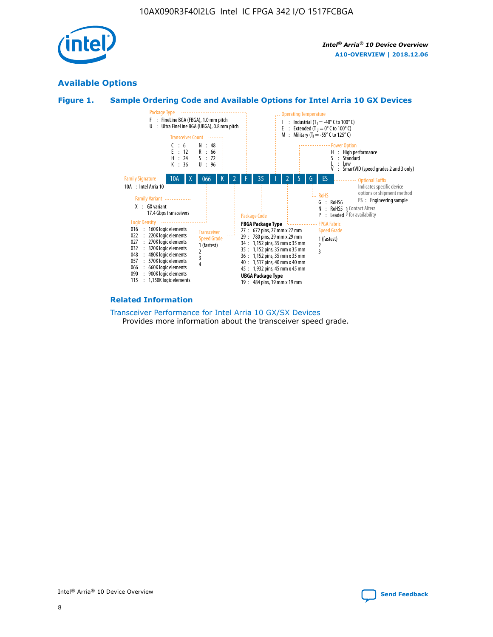

# **Available Options**





#### **Related Information**

[Transceiver Performance for Intel Arria 10 GX/SX Devices](https://www.intel.com/content/www/us/en/programmable/documentation/mcn1413182292568.html#mcn1413213965502) Provides more information about the transceiver speed grade.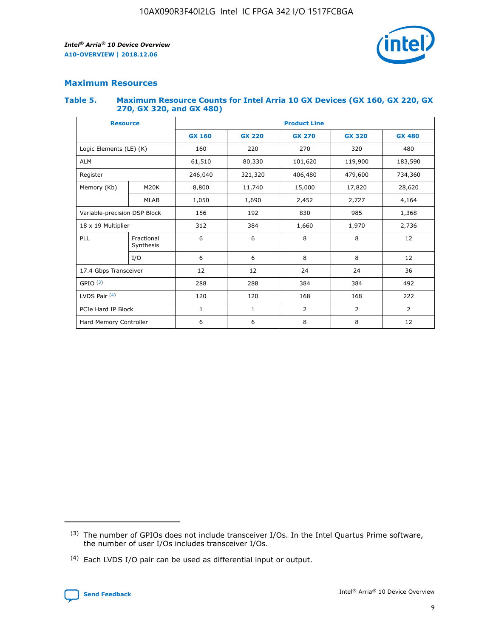

# **Maximum Resources**

#### **Table 5. Maximum Resource Counts for Intel Arria 10 GX Devices (GX 160, GX 220, GX 270, GX 320, and GX 480)**

| <b>Resource</b>              |                         | <b>Product Line</b> |                                                 |                |                |                |  |  |
|------------------------------|-------------------------|---------------------|-------------------------------------------------|----------------|----------------|----------------|--|--|
|                              |                         | <b>GX 160</b>       | <b>GX 220</b><br><b>GX 270</b><br><b>GX 320</b> |                |                | <b>GX 480</b>  |  |  |
| Logic Elements (LE) (K)      |                         | 160                 | 220                                             | 270            | 320            | 480            |  |  |
| <b>ALM</b>                   |                         | 61,510              | 80,330                                          | 101,620        | 119,900        | 183,590        |  |  |
| Register                     |                         | 246,040             | 479,600<br>321,320<br>406,480                   |                |                | 734,360        |  |  |
| Memory (Kb)                  | M <sub>20</sub> K       | 8,800               | 11,740                                          | 15,000         | 17,820         | 28,620         |  |  |
|                              | <b>MLAB</b>             | 1,050               | 1,690                                           | 2,452          | 2,727          | 4,164          |  |  |
| Variable-precision DSP Block |                         | 156                 | 192                                             | 830            | 985            | 1,368          |  |  |
| 18 x 19 Multiplier           |                         | 312                 | 384                                             | 1,660<br>1,970 |                | 2,736          |  |  |
| PLL                          | Fractional<br>Synthesis | 6                   | 6                                               | 8              | 8              | 12             |  |  |
|                              | I/O                     | 6                   | 6                                               | 8              | 8              | 12             |  |  |
| 17.4 Gbps Transceiver        |                         | 12                  | 12                                              | 24             | 24             | 36             |  |  |
| GPIO <sup>(3)</sup>          |                         | 288                 | 288                                             | 384            | 384            |                |  |  |
| LVDS Pair $(4)$              |                         | 120                 | 120                                             | 168            | 168            | 222            |  |  |
| PCIe Hard IP Block           |                         | 1                   | 1                                               | 2              | $\overline{2}$ | $\overline{2}$ |  |  |
| Hard Memory Controller       |                         | 6                   | 6                                               | 8              | 8              | 12             |  |  |

<sup>(4)</sup> Each LVDS I/O pair can be used as differential input or output.



<sup>(3)</sup> The number of GPIOs does not include transceiver I/Os. In the Intel Quartus Prime software, the number of user I/Os includes transceiver I/Os.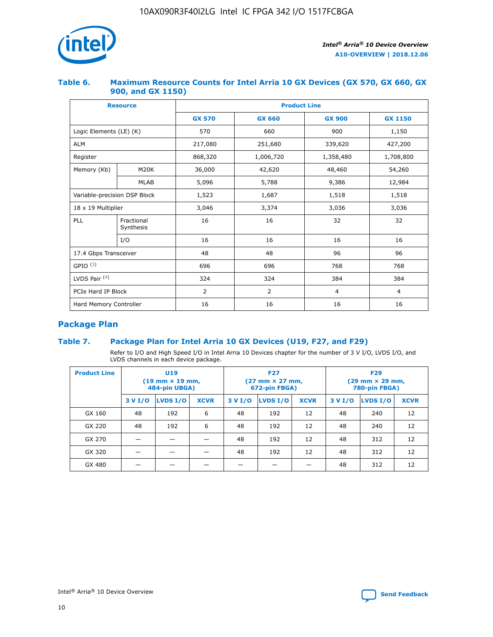

## **Table 6. Maximum Resource Counts for Intel Arria 10 GX Devices (GX 570, GX 660, GX 900, and GX 1150)**

|                              | <b>Resource</b>         | <b>Product Line</b> |               |                |                |  |  |  |
|------------------------------|-------------------------|---------------------|---------------|----------------|----------------|--|--|--|
|                              |                         | <b>GX 570</b>       | <b>GX 660</b> | <b>GX 900</b>  | <b>GX 1150</b> |  |  |  |
| Logic Elements (LE) (K)      |                         | 570                 | 660           | 900            | 1,150          |  |  |  |
| <b>ALM</b>                   |                         | 217,080             | 251,680       | 339,620        | 427,200        |  |  |  |
| Register                     |                         | 868,320             | 1,006,720     |                | 1,708,800      |  |  |  |
| Memory (Kb)                  | <b>M20K</b>             | 36,000              | 42,620        | 48,460         | 54,260         |  |  |  |
|                              | <b>MLAB</b>             | 5,096               | 5,788         |                | 12,984         |  |  |  |
| Variable-precision DSP Block |                         | 1,523               | 1,687         | 1,518          | 1,518          |  |  |  |
|                              | 18 x 19 Multiplier      |                     | 3,374         | 3,036          | 3,036          |  |  |  |
| PLL                          | Fractional<br>Synthesis | 16                  | 16            | 32             | 32             |  |  |  |
|                              | I/O                     | 16                  | 16            | 16             | 16             |  |  |  |
| 17.4 Gbps Transceiver        |                         | 48                  | 48<br>96      |                | 96             |  |  |  |
| GPIO <sup>(3)</sup>          |                         | 696                 | 696           | 768            | 768            |  |  |  |
| LVDS Pair $(4)$              |                         | 324                 | 324           | 384            | 384            |  |  |  |
| PCIe Hard IP Block           |                         | 2                   | 2             | $\overline{4}$ | 4              |  |  |  |
| Hard Memory Controller       |                         | 16                  | 16            | 16             | 16             |  |  |  |

# **Package Plan**

## **Table 7. Package Plan for Intel Arria 10 GX Devices (U19, F27, and F29)**

Refer to I/O and High Speed I/O in Intel Arria 10 Devices chapter for the number of 3 V I/O, LVDS I/O, and LVDS channels in each device package.

| <b>Product Line</b> | U <sub>19</sub><br>$(19 \text{ mm} \times 19 \text{ mm})$<br>484-pin UBGA) |          |             |         | <b>F27</b><br>(27 mm × 27 mm,<br>672-pin FBGA) |             | <b>F29</b><br>(29 mm × 29 mm,<br>780-pin FBGA) |          |             |  |
|---------------------|----------------------------------------------------------------------------|----------|-------------|---------|------------------------------------------------|-------------|------------------------------------------------|----------|-------------|--|
|                     | 3 V I/O                                                                    | LVDS I/O | <b>XCVR</b> | 3 V I/O | LVDS I/O                                       | <b>XCVR</b> | 3 V I/O                                        | LVDS I/O | <b>XCVR</b> |  |
| GX 160              | 48                                                                         | 192      | 6           | 48      | 192                                            | 12          | 48                                             | 240      | 12          |  |
| GX 220              | 48                                                                         | 192      | 6           | 48      | 192                                            | 12          | 48                                             | 240      | 12          |  |
| GX 270              |                                                                            |          |             | 48      | 192                                            | 12          | 48                                             | 312      | 12          |  |
| GX 320              |                                                                            |          |             | 48      | 192                                            | 12          | 48                                             | 312      | 12          |  |
| GX 480              |                                                                            |          |             |         |                                                |             | 48                                             | 312      | 12          |  |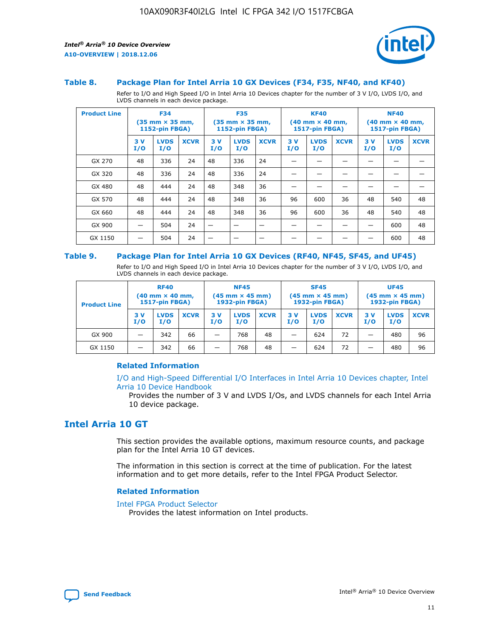



#### **Table 8. Package Plan for Intel Arria 10 GX Devices (F34, F35, NF40, and KF40)**

Refer to I/O and High Speed I/O in Intel Arria 10 Devices chapter for the number of 3 V I/O, LVDS I/O, and LVDS channels in each device package.

| <b>Product Line</b> | <b>F34</b><br>$(35 \text{ mm} \times 35 \text{ mm})$<br><b>1152-pin FBGA)</b> |                    | <b>F35</b><br>$(35 \text{ mm} \times 35 \text{ mm})$<br>1152-pin FBGA) |           | <b>KF40</b><br>$(40$ mm $\times$ 40 mm,<br><b>1517-pin FBGA)</b> |             |           | <b>NF40</b><br>$(40 \text{ mm} \times 40 \text{ mm})$<br>1517-pin FBGA) |             |           |                    |             |
|---------------------|-------------------------------------------------------------------------------|--------------------|------------------------------------------------------------------------|-----------|------------------------------------------------------------------|-------------|-----------|-------------------------------------------------------------------------|-------------|-----------|--------------------|-------------|
|                     | 3V<br>I/O                                                                     | <b>LVDS</b><br>I/O | <b>XCVR</b>                                                            | 3V<br>I/O | <b>LVDS</b><br>I/O                                               | <b>XCVR</b> | 3V<br>I/O | <b>LVDS</b><br>I/O                                                      | <b>XCVR</b> | 3V<br>I/O | <b>LVDS</b><br>I/O | <b>XCVR</b> |
| GX 270              | 48                                                                            | 336                | 24                                                                     | 48        | 336                                                              | 24          |           |                                                                         |             |           |                    |             |
| GX 320              | 48                                                                            | 336                | 24                                                                     | 48        | 336                                                              | 24          |           |                                                                         |             |           |                    |             |
| GX 480              | 48                                                                            | 444                | 24                                                                     | 48        | 348                                                              | 36          |           |                                                                         |             |           |                    |             |
| GX 570              | 48                                                                            | 444                | 24                                                                     | 48        | 348                                                              | 36          | 96        | 600                                                                     | 36          | 48        | 540                | 48          |
| GX 660              | 48                                                                            | 444                | 24                                                                     | 48        | 348                                                              | 36          | 96        | 600                                                                     | 36          | 48        | 540                | 48          |
| GX 900              |                                                                               | 504                | 24                                                                     | –         |                                                                  | -           |           |                                                                         |             |           | 600                | 48          |
| GX 1150             |                                                                               | 504                | 24                                                                     |           |                                                                  |             |           |                                                                         |             |           | 600                | 48          |

#### **Table 9. Package Plan for Intel Arria 10 GX Devices (RF40, NF45, SF45, and UF45)**

Refer to I/O and High Speed I/O in Intel Arria 10 Devices chapter for the number of 3 V I/O, LVDS I/O, and LVDS channels in each device package.

| <b>Product Line</b> | <b>RF40</b><br>$(40$ mm $\times$ 40 mm,<br>1517-pin FBGA) |                    |             | <b>NF45</b><br>$(45 \text{ mm} \times 45 \text{ mm})$<br><b>1932-pin FBGA)</b> |                    |             | <b>SF45</b><br>$(45 \text{ mm} \times 45 \text{ mm})$<br><b>1932-pin FBGA)</b> |                    |             | <b>UF45</b><br>$(45 \text{ mm} \times 45 \text{ mm})$<br><b>1932-pin FBGA)</b> |                    |             |
|---------------------|-----------------------------------------------------------|--------------------|-------------|--------------------------------------------------------------------------------|--------------------|-------------|--------------------------------------------------------------------------------|--------------------|-------------|--------------------------------------------------------------------------------|--------------------|-------------|
|                     | 3V<br>I/O                                                 | <b>LVDS</b><br>I/O | <b>XCVR</b> | 3 V<br>I/O                                                                     | <b>LVDS</b><br>I/O | <b>XCVR</b> | 3 V<br>I/O                                                                     | <b>LVDS</b><br>I/O | <b>XCVR</b> | 3V<br>I/O                                                                      | <b>LVDS</b><br>I/O | <b>XCVR</b> |
| GX 900              |                                                           | 342                | 66          | _                                                                              | 768                | 48          |                                                                                | 624                | 72          |                                                                                | 480                | 96          |
| GX 1150             |                                                           | 342                | 66          | _                                                                              | 768                | 48          |                                                                                | 624                | 72          |                                                                                | 480                | 96          |

#### **Related Information**

[I/O and High-Speed Differential I/O Interfaces in Intel Arria 10 Devices chapter, Intel](https://www.intel.com/content/www/us/en/programmable/documentation/sam1403482614086.html#sam1403482030321) [Arria 10 Device Handbook](https://www.intel.com/content/www/us/en/programmable/documentation/sam1403482614086.html#sam1403482030321)

Provides the number of 3 V and LVDS I/Os, and LVDS channels for each Intel Arria 10 device package.

# **Intel Arria 10 GT**

This section provides the available options, maximum resource counts, and package plan for the Intel Arria 10 GT devices.

The information in this section is correct at the time of publication. For the latest information and to get more details, refer to the Intel FPGA Product Selector.

#### **Related Information**

#### [Intel FPGA Product Selector](http://www.altera.com/products/selector/psg-selector.html)

Provides the latest information on Intel products.

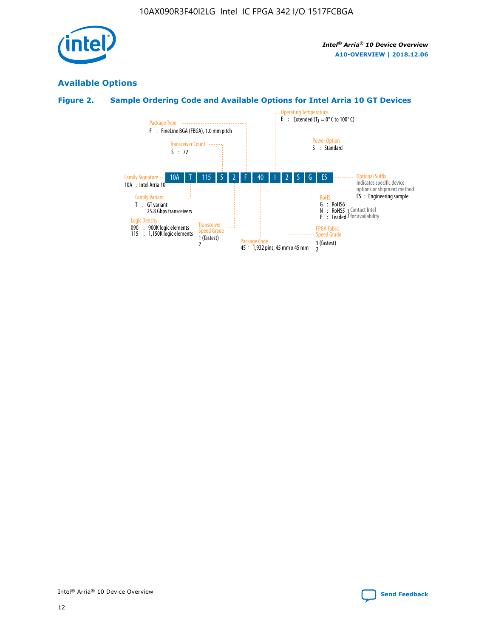

# **Available Options**

# **Figure 2. Sample Ordering Code and Available Options for Intel Arria 10 GT Devices**

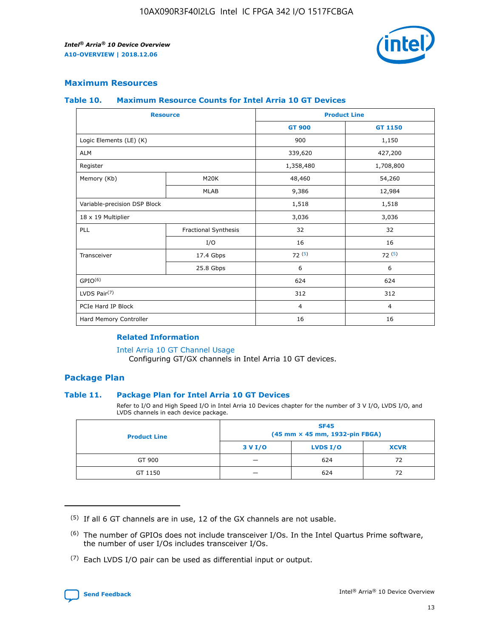

## **Maximum Resources**

#### **Table 10. Maximum Resource Counts for Intel Arria 10 GT Devices**

| <b>Resource</b>              |                      |                | <b>Product Line</b> |  |
|------------------------------|----------------------|----------------|---------------------|--|
|                              |                      | <b>GT 900</b>  | GT 1150             |  |
| Logic Elements (LE) (K)      |                      | 900            | 1,150               |  |
| <b>ALM</b>                   |                      | 339,620        | 427,200             |  |
| Register                     |                      | 1,358,480      | 1,708,800           |  |
| Memory (Kb)                  | M20K                 | 48,460         | 54,260              |  |
|                              | <b>MLAB</b>          | 9,386          | 12,984              |  |
| Variable-precision DSP Block |                      | 1,518          | 1,518               |  |
| 18 x 19 Multiplier           |                      | 3,036          | 3,036               |  |
| PLL                          | Fractional Synthesis | 32             | 32                  |  |
|                              | I/O                  | 16             | 16                  |  |
| Transceiver                  | 17.4 Gbps            | 72(5)          | 72(5)               |  |
|                              | 25.8 Gbps            | 6              | 6                   |  |
| GPIO <sup>(6)</sup>          |                      | 624            | 624                 |  |
| LVDS Pair $(7)$              |                      | 312            | 312                 |  |
| PCIe Hard IP Block           |                      | $\overline{4}$ | $\overline{4}$      |  |
| Hard Memory Controller       |                      | 16             | 16                  |  |

#### **Related Information**

#### [Intel Arria 10 GT Channel Usage](https://www.intel.com/content/www/us/en/programmable/documentation/nik1398707230472.html#nik1398707008178)

Configuring GT/GX channels in Intel Arria 10 GT devices.

## **Package Plan**

#### **Table 11. Package Plan for Intel Arria 10 GT Devices**

Refer to I/O and High Speed I/O in Intel Arria 10 Devices chapter for the number of 3 V I/O, LVDS I/O, and LVDS channels in each device package.

| <b>Product Line</b> | <b>SF45</b><br>(45 mm × 45 mm, 1932-pin FBGA) |                 |             |  |  |  |
|---------------------|-----------------------------------------------|-----------------|-------------|--|--|--|
|                     | 3 V I/O                                       | <b>LVDS I/O</b> | <b>XCVR</b> |  |  |  |
| GT 900              |                                               | 624             | 72          |  |  |  |
| GT 1150             |                                               | 624             | 72          |  |  |  |

<sup>(7)</sup> Each LVDS I/O pair can be used as differential input or output.



 $(5)$  If all 6 GT channels are in use, 12 of the GX channels are not usable.

<sup>(6)</sup> The number of GPIOs does not include transceiver I/Os. In the Intel Quartus Prime software, the number of user I/Os includes transceiver I/Os.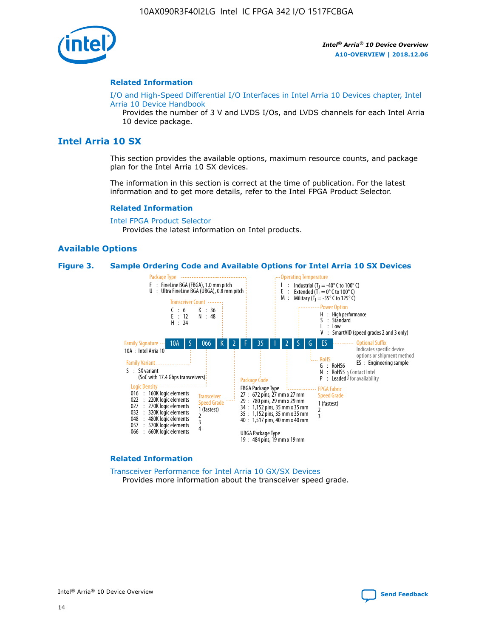

#### **Related Information**

[I/O and High-Speed Differential I/O Interfaces in Intel Arria 10 Devices chapter, Intel](https://www.intel.com/content/www/us/en/programmable/documentation/sam1403482614086.html#sam1403482030321) [Arria 10 Device Handbook](https://www.intel.com/content/www/us/en/programmable/documentation/sam1403482614086.html#sam1403482030321)

Provides the number of 3 V and LVDS I/Os, and LVDS channels for each Intel Arria 10 device package.

# **Intel Arria 10 SX**

This section provides the available options, maximum resource counts, and package plan for the Intel Arria 10 SX devices.

The information in this section is correct at the time of publication. For the latest information and to get more details, refer to the Intel FPGA Product Selector.

#### **Related Information**

[Intel FPGA Product Selector](http://www.altera.com/products/selector/psg-selector.html) Provides the latest information on Intel products.

#### **Available Options**

#### **Figure 3. Sample Ordering Code and Available Options for Intel Arria 10 SX Devices**



#### **Related Information**

[Transceiver Performance for Intel Arria 10 GX/SX Devices](https://www.intel.com/content/www/us/en/programmable/documentation/mcn1413182292568.html#mcn1413213965502) Provides more information about the transceiver speed grade.

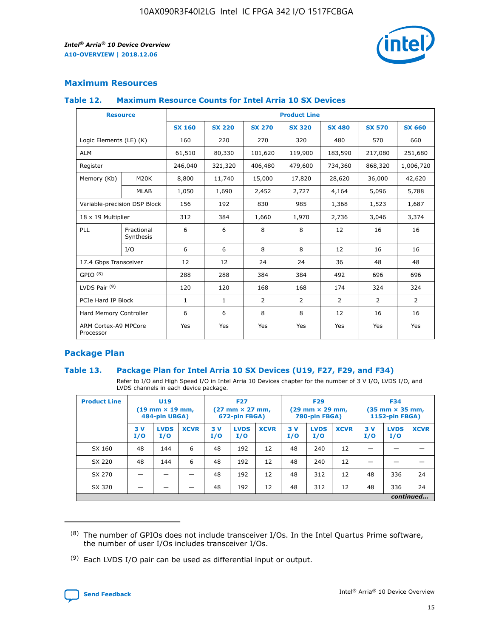

## **Maximum Resources**

#### **Table 12. Maximum Resource Counts for Intel Arria 10 SX Devices**

| <b>Resource</b>                   |                         | <b>Product Line</b> |               |                |                |                |                |                |  |  |
|-----------------------------------|-------------------------|---------------------|---------------|----------------|----------------|----------------|----------------|----------------|--|--|
|                                   |                         | <b>SX 160</b>       | <b>SX 220</b> | <b>SX 270</b>  | <b>SX 320</b>  | <b>SX 480</b>  | <b>SX 570</b>  | <b>SX 660</b>  |  |  |
| Logic Elements (LE) (K)           |                         | 160                 | 220           | 270            | 320            | 480            | 570            | 660            |  |  |
| <b>ALM</b>                        |                         | 61,510              | 80,330        | 101,620        | 119,900        | 183,590        | 217,080        | 251,680        |  |  |
| Register                          |                         | 246,040             | 321,320       | 406,480        | 479,600        | 734,360        | 868,320        | 1,006,720      |  |  |
| Memory (Kb)                       | M <sub>20</sub> K       | 8,800               | 11,740        | 15,000         | 17,820         | 28,620         | 36,000         | 42,620         |  |  |
|                                   | <b>MLAB</b>             | 1,050               | 1,690         | 2,452          | 2,727          | 4,164          | 5,096          | 5,788          |  |  |
| Variable-precision DSP Block      |                         | 156                 | 192           | 830            | 985            | 1,368          | 1,523          | 1,687          |  |  |
| 18 x 19 Multiplier                |                         | 312                 | 384           | 1,660          | 1,970          | 2,736          | 3,046          | 3,374          |  |  |
| PLL                               | Fractional<br>Synthesis | 6                   | 6             | 8              | 8              | 12             | 16             | 16             |  |  |
|                                   | I/O                     | 6                   | 6             | 8              | 8              | 12             | 16             | 16             |  |  |
| 17.4 Gbps Transceiver             |                         | 12                  | 12            | 24             | 24             | 36             | 48             | 48             |  |  |
| GPIO <sup>(8)</sup>               |                         | 288                 | 288           | 384            | 384            | 492            | 696            | 696            |  |  |
| LVDS Pair $(9)$                   |                         | 120                 | 120           | 168            | 168            | 174            | 324            | 324            |  |  |
| PCIe Hard IP Block                |                         | $\mathbf{1}$        | $\mathbf{1}$  | $\overline{2}$ | $\overline{2}$ | $\overline{2}$ | $\overline{2}$ | $\overline{2}$ |  |  |
| Hard Memory Controller            |                         | 6                   | 6             | 8              | 8              | 12             | 16             | 16             |  |  |
| ARM Cortex-A9 MPCore<br>Processor |                         | Yes                 | Yes           | Yes            | Yes            | Yes            | Yes            | <b>Yes</b>     |  |  |

## **Package Plan**

#### **Table 13. Package Plan for Intel Arria 10 SX Devices (U19, F27, F29, and F34)**

Refer to I/O and High Speed I/O in Intel Arria 10 Devices chapter for the number of 3 V I/O, LVDS I/O, and LVDS channels in each device package.

| <b>Product Line</b> | U19<br>$(19 \text{ mm} \times 19 \text{ mm})$ .<br>484-pin UBGA) |                    |             | <b>F27</b><br>$(27 \text{ mm} \times 27 \text{ mm})$<br>672-pin FBGA) |                    | <b>F29</b><br>$(29 \text{ mm} \times 29 \text{ mm})$<br>780-pin FBGA) |           |                    | <b>F34</b><br>$(35 \text{ mm} \times 35 \text{ mm})$<br><b>1152-pin FBGA)</b> |           |                    |             |
|---------------------|------------------------------------------------------------------|--------------------|-------------|-----------------------------------------------------------------------|--------------------|-----------------------------------------------------------------------|-----------|--------------------|-------------------------------------------------------------------------------|-----------|--------------------|-------------|
|                     | 3V<br>I/O                                                        | <b>LVDS</b><br>I/O | <b>XCVR</b> | 3V<br>I/O                                                             | <b>LVDS</b><br>I/O | <b>XCVR</b>                                                           | 3V<br>I/O | <b>LVDS</b><br>I/O | <b>XCVR</b>                                                                   | 3V<br>I/O | <b>LVDS</b><br>I/O | <b>XCVR</b> |
| SX 160              | 48                                                               | 144                | 6           | 48                                                                    | 192                | 12                                                                    | 48        | 240                | 12                                                                            |           |                    |             |
| SX 220              | 48                                                               | 144                | 6           | 48                                                                    | 192                | 12                                                                    | 48        | 240                | 12                                                                            |           |                    |             |
| SX 270              |                                                                  |                    |             | 48                                                                    | 192                | 12                                                                    | 48        | 312                | 12                                                                            | 48        | 336                | 24          |
| SX 320              |                                                                  |                    |             | 48                                                                    | 192                | 12                                                                    | 48        | 312                | 12                                                                            | 48        | 336                | 24          |
|                     | continued                                                        |                    |             |                                                                       |                    |                                                                       |           |                    |                                                                               |           |                    |             |

 $(8)$  The number of GPIOs does not include transceiver I/Os. In the Intel Quartus Prime software, the number of user I/Os includes transceiver I/Os.

 $(9)$  Each LVDS I/O pair can be used as differential input or output.

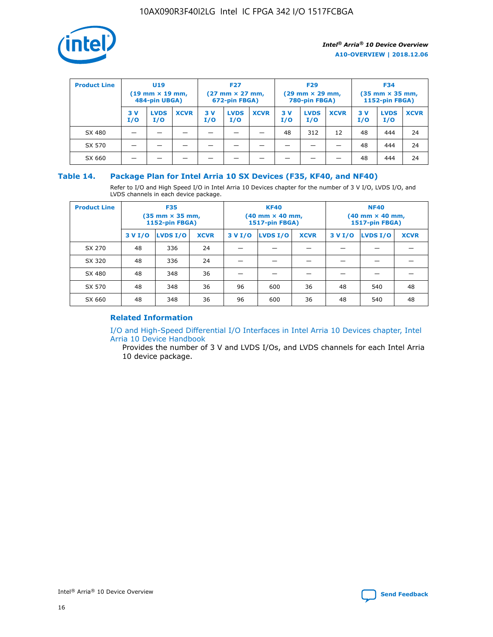

| <b>Product Line</b> | U <sub>19</sub><br>$(19 \text{ mm} \times 19 \text{ mm})$<br>484-pin UBGA) |                    | <b>F27</b><br>$(27 \text{ mm} \times 27 \text{ mm})$<br>672-pin FBGA) |           |                    | <b>F29</b><br>$(29$ mm $\times$ 29 mm,<br>780-pin FBGA) |           |                    | <b>F34</b><br>$(35$ mm $\times$ 35 mm,<br><b>1152-pin FBGA)</b> |           |                    |             |
|---------------------|----------------------------------------------------------------------------|--------------------|-----------------------------------------------------------------------|-----------|--------------------|---------------------------------------------------------|-----------|--------------------|-----------------------------------------------------------------|-----------|--------------------|-------------|
|                     | 3V<br>I/O                                                                  | <b>LVDS</b><br>I/O | <b>XCVR</b>                                                           | 3V<br>I/O | <b>LVDS</b><br>I/O | <b>XCVR</b>                                             | 3V<br>I/O | <b>LVDS</b><br>I/O | <b>XCVR</b>                                                     | 3V<br>I/O | <b>LVDS</b><br>I/O | <b>XCVR</b> |
| SX 480              |                                                                            |                    |                                                                       |           |                    |                                                         | 48        | 312                | 12                                                              | 48        | 444                | 24          |
| SX 570              |                                                                            |                    |                                                                       |           |                    |                                                         |           |                    |                                                                 | 48        | 444                | 24          |
| SX 660              |                                                                            |                    |                                                                       |           |                    |                                                         |           |                    |                                                                 | 48        | 444                | 24          |

## **Table 14. Package Plan for Intel Arria 10 SX Devices (F35, KF40, and NF40)**

Refer to I/O and High Speed I/O in Intel Arria 10 Devices chapter for the number of 3 V I/O, LVDS I/O, and LVDS channels in each device package.

| <b>Product Line</b> | <b>F35</b><br>$(35 \text{ mm} \times 35 \text{ mm})$<br><b>1152-pin FBGA)</b> |          |             |                                           | <b>KF40</b><br>(40 mm × 40 mm,<br>1517-pin FBGA) |    | <b>NF40</b><br>$(40 \text{ mm} \times 40 \text{ mm})$<br>1517-pin FBGA) |          |             |  |
|---------------------|-------------------------------------------------------------------------------|----------|-------------|-------------------------------------------|--------------------------------------------------|----|-------------------------------------------------------------------------|----------|-------------|--|
|                     | 3 V I/O                                                                       | LVDS I/O | <b>XCVR</b> | <b>LVDS I/O</b><br><b>XCVR</b><br>3 V I/O |                                                  |    | 3 V I/O                                                                 | LVDS I/O | <b>XCVR</b> |  |
| SX 270              | 48                                                                            | 336      | 24          |                                           |                                                  |    |                                                                         |          |             |  |
| SX 320              | 48                                                                            | 336      | 24          |                                           |                                                  |    |                                                                         |          |             |  |
| SX 480              | 48                                                                            | 348      | 36          |                                           |                                                  |    |                                                                         |          |             |  |
| SX 570              | 48                                                                            | 348      | 36          | 96                                        | 600                                              | 36 | 48                                                                      | 540      | 48          |  |
| SX 660              | 48                                                                            | 348      | 36          | 96                                        | 600                                              | 36 | 48                                                                      | 540      | 48          |  |

# **Related Information**

[I/O and High-Speed Differential I/O Interfaces in Intel Arria 10 Devices chapter, Intel](https://www.intel.com/content/www/us/en/programmable/documentation/sam1403482614086.html#sam1403482030321) [Arria 10 Device Handbook](https://www.intel.com/content/www/us/en/programmable/documentation/sam1403482614086.html#sam1403482030321)

Provides the number of 3 V and LVDS I/Os, and LVDS channels for each Intel Arria 10 device package.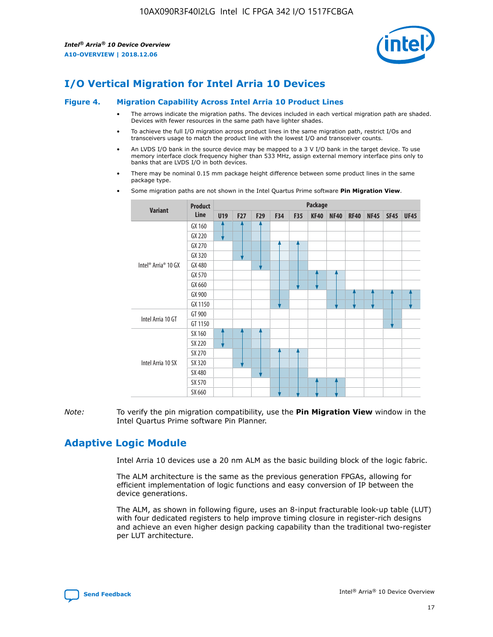

# **I/O Vertical Migration for Intel Arria 10 Devices**

#### **Figure 4. Migration Capability Across Intel Arria 10 Product Lines**

- The arrows indicate the migration paths. The devices included in each vertical migration path are shaded. Devices with fewer resources in the same path have lighter shades.
- To achieve the full I/O migration across product lines in the same migration path, restrict I/Os and transceivers usage to match the product line with the lowest I/O and transceiver counts.
- An LVDS I/O bank in the source device may be mapped to a 3 V I/O bank in the target device. To use memory interface clock frequency higher than 533 MHz, assign external memory interface pins only to banks that are LVDS I/O in both devices.
- There may be nominal 0.15 mm package height difference between some product lines in the same package type.
	- **Variant Product Line Package U19 F27 F29 F34 F35 KF40 NF40 RF40 NF45 SF45 UF45** Intel® Arria® 10 GX GX 160 GX 220 GX 270 GX 320 GX 480 GX 570 GX 660 GX 900 GX 1150 Intel Arria 10 GT GT 900 GT 1150 Intel Arria 10 SX SX 160 SX 220 SX 270 SX 320 SX 480 SX 570 SX 660
- Some migration paths are not shown in the Intel Quartus Prime software **Pin Migration View**.

*Note:* To verify the pin migration compatibility, use the **Pin Migration View** window in the Intel Quartus Prime software Pin Planner.

# **Adaptive Logic Module**

Intel Arria 10 devices use a 20 nm ALM as the basic building block of the logic fabric.

The ALM architecture is the same as the previous generation FPGAs, allowing for efficient implementation of logic functions and easy conversion of IP between the device generations.

The ALM, as shown in following figure, uses an 8-input fracturable look-up table (LUT) with four dedicated registers to help improve timing closure in register-rich designs and achieve an even higher design packing capability than the traditional two-register per LUT architecture.

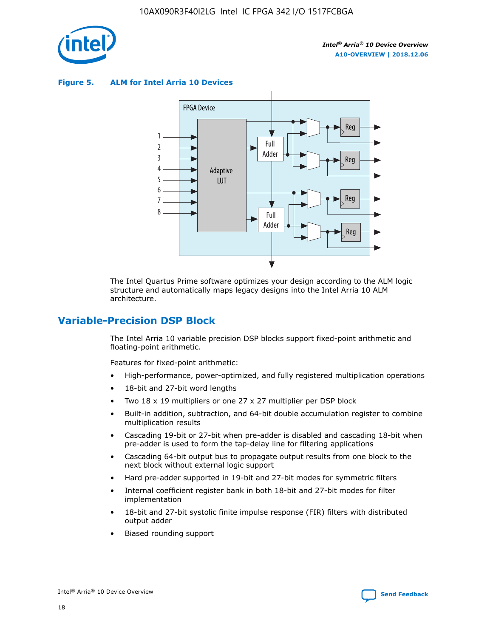

**Figure 5. ALM for Intel Arria 10 Devices**



The Intel Quartus Prime software optimizes your design according to the ALM logic structure and automatically maps legacy designs into the Intel Arria 10 ALM architecture.

# **Variable-Precision DSP Block**

The Intel Arria 10 variable precision DSP blocks support fixed-point arithmetic and floating-point arithmetic.

Features for fixed-point arithmetic:

- High-performance, power-optimized, and fully registered multiplication operations
- 18-bit and 27-bit word lengths
- Two 18 x 19 multipliers or one 27 x 27 multiplier per DSP block
- Built-in addition, subtraction, and 64-bit double accumulation register to combine multiplication results
- Cascading 19-bit or 27-bit when pre-adder is disabled and cascading 18-bit when pre-adder is used to form the tap-delay line for filtering applications
- Cascading 64-bit output bus to propagate output results from one block to the next block without external logic support
- Hard pre-adder supported in 19-bit and 27-bit modes for symmetric filters
- Internal coefficient register bank in both 18-bit and 27-bit modes for filter implementation
- 18-bit and 27-bit systolic finite impulse response (FIR) filters with distributed output adder
- Biased rounding support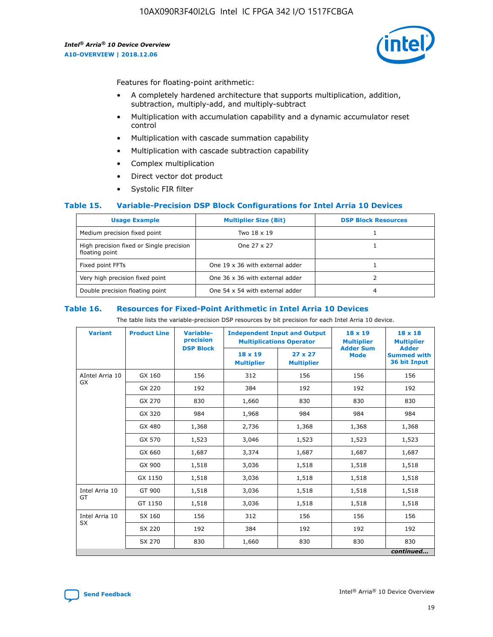

Features for floating-point arithmetic:

- A completely hardened architecture that supports multiplication, addition, subtraction, multiply-add, and multiply-subtract
- Multiplication with accumulation capability and a dynamic accumulator reset control
- Multiplication with cascade summation capability
- Multiplication with cascade subtraction capability
- Complex multiplication
- Direct vector dot product
- Systolic FIR filter

#### **Table 15. Variable-Precision DSP Block Configurations for Intel Arria 10 Devices**

| <b>Usage Example</b>                                       | <b>Multiplier Size (Bit)</b>    | <b>DSP Block Resources</b> |
|------------------------------------------------------------|---------------------------------|----------------------------|
| Medium precision fixed point                               | Two 18 x 19                     |                            |
| High precision fixed or Single precision<br>floating point | One 27 x 27                     |                            |
| Fixed point FFTs                                           | One 19 x 36 with external adder |                            |
| Very high precision fixed point                            | One 36 x 36 with external adder |                            |
| Double precision floating point                            | One 54 x 54 with external adder | 4                          |

#### **Table 16. Resources for Fixed-Point Arithmetic in Intel Arria 10 Devices**

The table lists the variable-precision DSP resources by bit precision for each Intel Arria 10 device.

| <b>Variant</b>  | <b>Product Line</b> | Variable-<br>precision | <b>Independent Input and Output</b><br><b>Multiplications Operator</b> |                                     | $18 \times 19$<br><b>Multiplier</b><br><b>Adder Sum</b> | $18 \times 18$<br><b>Multiplier</b>                |
|-----------------|---------------------|------------------------|------------------------------------------------------------------------|-------------------------------------|---------------------------------------------------------|----------------------------------------------------|
|                 |                     | <b>DSP Block</b>       | 18 x 19<br><b>Multiplier</b>                                           | $27 \times 27$<br><b>Multiplier</b> | <b>Mode</b>                                             | <b>Adder</b><br><b>Summed with</b><br>36 bit Input |
| AIntel Arria 10 | GX 160              | 156                    | 312                                                                    | 156                                 | 156                                                     | 156                                                |
| GX              | GX 220              | 192                    | 384                                                                    | 192                                 | 192                                                     | 192                                                |
|                 | GX 270              | 830                    | 1,660                                                                  | 830                                 | 830                                                     | 830                                                |
|                 | GX 320              | 984                    | 1,968                                                                  | 984                                 | 984                                                     | 984                                                |
|                 | GX 480              | 1,368                  | 2,736                                                                  | 1,368                               | 1,368                                                   | 1,368                                              |
|                 | GX 570              | 1,523                  | 3,046                                                                  | 1,523                               | 1,523                                                   | 1,523                                              |
|                 | GX 660              | 1,687                  | 3,374                                                                  | 1,687                               | 1,687                                                   | 1,687                                              |
|                 | GX 900              | 1,518                  | 3,036                                                                  | 1,518                               | 1,518                                                   | 1,518                                              |
|                 | GX 1150             | 1,518                  | 3,036                                                                  | 1,518                               | 1,518                                                   | 1,518                                              |
| Intel Arria 10  | GT 900              | 1,518                  | 3,036                                                                  | 1,518                               | 1,518                                                   | 1,518                                              |
| GT              | GT 1150             | 1,518                  | 3,036                                                                  | 1,518                               | 1,518                                                   | 1,518                                              |
| Intel Arria 10  | SX 160              | 156                    | 312                                                                    | 156                                 | 156                                                     | 156                                                |
| <b>SX</b>       | SX 220              | 192                    | 384                                                                    | 192                                 | 192                                                     | 192                                                |
|                 | SX 270              | 830                    | 1,660                                                                  | 830                                 | 830                                                     | 830                                                |
|                 |                     |                        |                                                                        |                                     |                                                         | continued                                          |

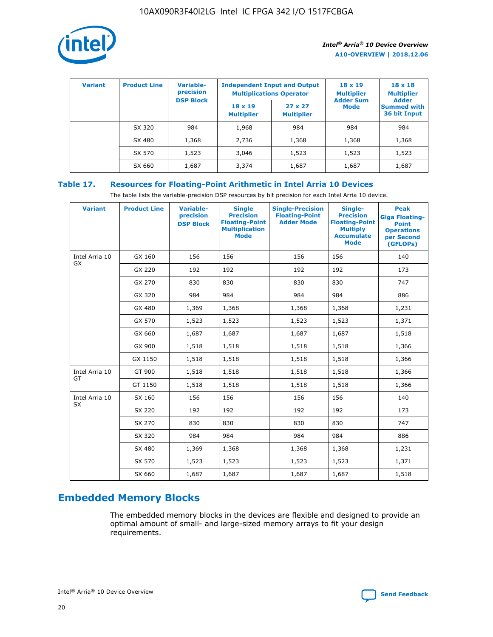

| <b>Variant</b> | <b>Product Line</b> | <b>Variable-</b><br>precision |                                     | <b>Independent Input and Output</b><br><b>Multiplications Operator</b> | $18 \times 19$<br><b>Multiplier</b> | $18 \times 18$<br><b>Multiplier</b><br><b>Adder</b> |  |
|----------------|---------------------|-------------------------------|-------------------------------------|------------------------------------------------------------------------|-------------------------------------|-----------------------------------------------------|--|
|                |                     | <b>DSP Block</b>              | $18 \times 19$<br><b>Multiplier</b> | $27 \times 27$<br><b>Multiplier</b>                                    | <b>Adder Sum</b><br>Mode            | <b>Summed with</b><br>36 bit Input                  |  |
|                | SX 320              | 984                           | 1,968                               | 984                                                                    | 984                                 | 984                                                 |  |
|                | SX 480              | 1,368                         | 2,736                               | 1,368                                                                  | 1,368                               | 1,368                                               |  |
|                | SX 570              | 1,523                         | 3,046                               | 1,523                                                                  | 1,523                               | 1,523                                               |  |
|                | SX 660              | 1,687                         | 3,374                               | 1,687                                                                  | 1,687                               | 1,687                                               |  |

# **Table 17. Resources for Floating-Point Arithmetic in Intel Arria 10 Devices**

The table lists the variable-precision DSP resources by bit precision for each Intel Arria 10 device.

| <b>Variant</b> | <b>Product Line</b> | <b>Variable-</b><br>precision<br><b>DSP Block</b> | <b>Single</b><br><b>Precision</b><br><b>Floating-Point</b><br><b>Multiplication</b><br><b>Mode</b> | <b>Single-Precision</b><br><b>Floating-Point</b><br><b>Adder Mode</b> | Single-<br><b>Precision</b><br><b>Floating-Point</b><br><b>Multiply</b><br><b>Accumulate</b><br><b>Mode</b> | <b>Peak</b><br><b>Giga Floating-</b><br><b>Point</b><br><b>Operations</b><br>per Second<br>(GFLOPs) |
|----------------|---------------------|---------------------------------------------------|----------------------------------------------------------------------------------------------------|-----------------------------------------------------------------------|-------------------------------------------------------------------------------------------------------------|-----------------------------------------------------------------------------------------------------|
| Intel Arria 10 | GX 160              | 156                                               | 156                                                                                                | 156                                                                   | 156                                                                                                         | 140                                                                                                 |
| GX             | GX 220              | 192                                               | 192                                                                                                | 192                                                                   | 192                                                                                                         | 173                                                                                                 |
|                | GX 270              | 830                                               | 830                                                                                                | 830                                                                   | 830                                                                                                         | 747                                                                                                 |
|                | GX 320              | 984                                               | 984                                                                                                | 984                                                                   | 984                                                                                                         | 886                                                                                                 |
|                | GX 480              | 1,369                                             | 1,368                                                                                              | 1,368                                                                 | 1,368                                                                                                       | 1,231                                                                                               |
|                | GX 570              | 1,523                                             | 1,523                                                                                              | 1,523                                                                 | 1,523                                                                                                       | 1,371                                                                                               |
|                | GX 660              | 1,687                                             | 1,687                                                                                              | 1,687                                                                 | 1,687                                                                                                       | 1,518                                                                                               |
|                | GX 900              | 1,518                                             | 1,518                                                                                              | 1,518                                                                 | 1,518                                                                                                       | 1,366                                                                                               |
|                | GX 1150             | 1,518                                             | 1,518                                                                                              | 1,518                                                                 | 1,518                                                                                                       | 1,366                                                                                               |
| Intel Arria 10 | GT 900              | 1,518                                             | 1,518                                                                                              | 1,518                                                                 | 1,518                                                                                                       | 1,366                                                                                               |
| GT             | GT 1150             | 1,518                                             | 1,518                                                                                              | 1,518                                                                 | 1,518                                                                                                       | 1,366                                                                                               |
| Intel Arria 10 | SX 160              | 156                                               | 156                                                                                                | 156                                                                   | 156                                                                                                         | 140                                                                                                 |
| <b>SX</b>      | SX 220              | 192                                               | 192                                                                                                | 192                                                                   | 192                                                                                                         | 173                                                                                                 |
|                | SX 270              | 830                                               | 830                                                                                                | 830                                                                   | 830                                                                                                         | 747                                                                                                 |
|                | SX 320              | 984                                               | 984                                                                                                | 984                                                                   | 984                                                                                                         | 886                                                                                                 |
|                | SX 480              | 1,369                                             | 1,368                                                                                              | 1,368                                                                 | 1,368                                                                                                       | 1,231                                                                                               |
|                | SX 570              | 1,523                                             | 1,523                                                                                              | 1,523                                                                 | 1,523                                                                                                       | 1,371                                                                                               |
|                | SX 660              | 1,687                                             | 1,687                                                                                              | 1,687                                                                 | 1,687                                                                                                       | 1,518                                                                                               |

# **Embedded Memory Blocks**

The embedded memory blocks in the devices are flexible and designed to provide an optimal amount of small- and large-sized memory arrays to fit your design requirements.

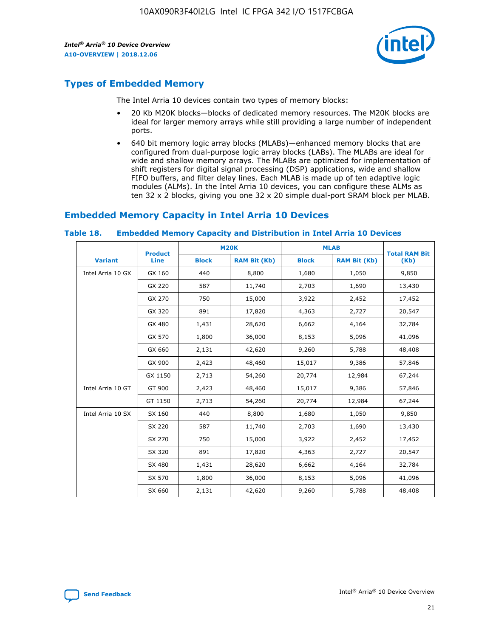

# **Types of Embedded Memory**

The Intel Arria 10 devices contain two types of memory blocks:

- 20 Kb M20K blocks—blocks of dedicated memory resources. The M20K blocks are ideal for larger memory arrays while still providing a large number of independent ports.
- 640 bit memory logic array blocks (MLABs)—enhanced memory blocks that are configured from dual-purpose logic array blocks (LABs). The MLABs are ideal for wide and shallow memory arrays. The MLABs are optimized for implementation of shift registers for digital signal processing (DSP) applications, wide and shallow FIFO buffers, and filter delay lines. Each MLAB is made up of ten adaptive logic modules (ALMs). In the Intel Arria 10 devices, you can configure these ALMs as ten 32 x 2 blocks, giving you one 32 x 20 simple dual-port SRAM block per MLAB.

# **Embedded Memory Capacity in Intel Arria 10 Devices**

|                   | <b>Product</b> |              | <b>M20K</b>         | <b>MLAB</b>  |                     | <b>Total RAM Bit</b> |
|-------------------|----------------|--------------|---------------------|--------------|---------------------|----------------------|
| <b>Variant</b>    | <b>Line</b>    | <b>Block</b> | <b>RAM Bit (Kb)</b> | <b>Block</b> | <b>RAM Bit (Kb)</b> | (Kb)                 |
| Intel Arria 10 GX | GX 160         | 440          | 8,800               | 1,680        | 1,050               | 9,850                |
|                   | GX 220         | 587          | 11,740              | 2,703        | 1,690               | 13,430               |
|                   | GX 270         | 750          | 15,000              | 3,922        | 2,452               | 17,452               |
|                   | GX 320         | 891          | 17,820              | 4,363        | 2,727               | 20,547               |
|                   | GX 480         | 1,431        | 28,620              | 6,662        | 4,164               | 32,784               |
|                   | GX 570         | 1,800        | 36,000              | 8,153        | 5,096               | 41,096               |
|                   | GX 660         | 2,131        | 42,620              | 9,260        | 5,788               | 48,408               |
|                   | GX 900         | 2,423        | 48,460              | 15,017       | 9,386               | 57,846               |
|                   | GX 1150        | 2,713        | 54,260              | 20,774       | 12,984              | 67,244               |
| Intel Arria 10 GT | GT 900         | 2,423        | 48,460              | 15,017       | 9,386               | 57,846               |
|                   | GT 1150        | 2,713        | 54,260              | 20,774       | 12,984              | 67,244               |
| Intel Arria 10 SX | SX 160         | 440          | 8,800               | 1,680        | 1,050               | 9,850                |
|                   | SX 220         | 587          | 11,740              | 2,703        | 1,690               | 13,430               |
|                   | SX 270         | 750          | 15,000              | 3,922        | 2,452               | 17,452               |
|                   | SX 320         | 891          | 17,820              | 4,363        | 2,727               | 20,547               |
|                   | SX 480         | 1,431        | 28,620              | 6,662        | 4,164               | 32,784               |
|                   | SX 570         | 1,800        | 36,000              | 8,153        | 5,096               | 41,096               |
|                   | SX 660         | 2,131        | 42,620              | 9,260        | 5,788               | 48,408               |

#### **Table 18. Embedded Memory Capacity and Distribution in Intel Arria 10 Devices**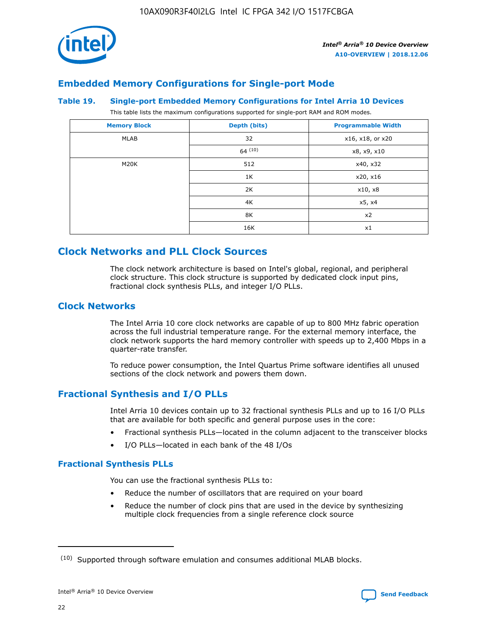

# **Embedded Memory Configurations for Single-port Mode**

#### **Table 19. Single-port Embedded Memory Configurations for Intel Arria 10 Devices**

This table lists the maximum configurations supported for single-port RAM and ROM modes.

| <b>Memory Block</b> | Depth (bits) | <b>Programmable Width</b> |
|---------------------|--------------|---------------------------|
| MLAB                | 32           | x16, x18, or x20          |
|                     | 64(10)       | x8, x9, x10               |
| M20K                | 512          | x40, x32                  |
|                     | 1K           | x20, x16                  |
|                     | 2K           | x10, x8                   |
|                     | 4K           | x5, x4                    |
|                     | 8K           | x2                        |
|                     | 16K          | x1                        |

# **Clock Networks and PLL Clock Sources**

The clock network architecture is based on Intel's global, regional, and peripheral clock structure. This clock structure is supported by dedicated clock input pins, fractional clock synthesis PLLs, and integer I/O PLLs.

# **Clock Networks**

The Intel Arria 10 core clock networks are capable of up to 800 MHz fabric operation across the full industrial temperature range. For the external memory interface, the clock network supports the hard memory controller with speeds up to 2,400 Mbps in a quarter-rate transfer.

To reduce power consumption, the Intel Quartus Prime software identifies all unused sections of the clock network and powers them down.

## **Fractional Synthesis and I/O PLLs**

Intel Arria 10 devices contain up to 32 fractional synthesis PLLs and up to 16 I/O PLLs that are available for both specific and general purpose uses in the core:

- Fractional synthesis PLLs—located in the column adjacent to the transceiver blocks
- I/O PLLs—located in each bank of the 48 I/Os

## **Fractional Synthesis PLLs**

You can use the fractional synthesis PLLs to:

- Reduce the number of oscillators that are required on your board
- Reduce the number of clock pins that are used in the device by synthesizing multiple clock frequencies from a single reference clock source

<sup>(10)</sup> Supported through software emulation and consumes additional MLAB blocks.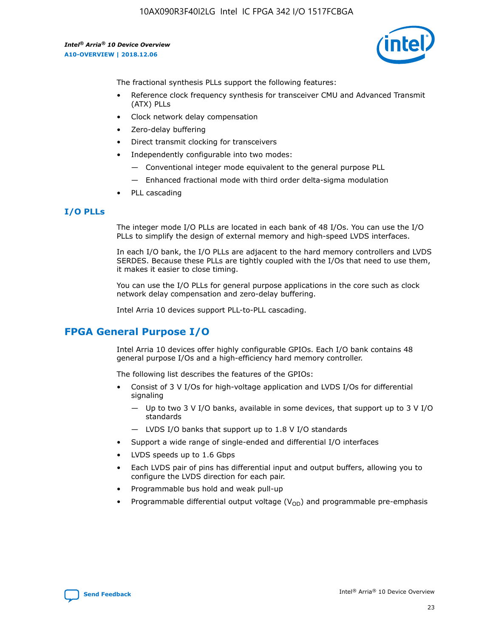

The fractional synthesis PLLs support the following features:

- Reference clock frequency synthesis for transceiver CMU and Advanced Transmit (ATX) PLLs
- Clock network delay compensation
- Zero-delay buffering
- Direct transmit clocking for transceivers
- Independently configurable into two modes:
	- Conventional integer mode equivalent to the general purpose PLL
	- Enhanced fractional mode with third order delta-sigma modulation
- PLL cascading

## **I/O PLLs**

The integer mode I/O PLLs are located in each bank of 48 I/Os. You can use the I/O PLLs to simplify the design of external memory and high-speed LVDS interfaces.

In each I/O bank, the I/O PLLs are adjacent to the hard memory controllers and LVDS SERDES. Because these PLLs are tightly coupled with the I/Os that need to use them, it makes it easier to close timing.

You can use the I/O PLLs for general purpose applications in the core such as clock network delay compensation and zero-delay buffering.

Intel Arria 10 devices support PLL-to-PLL cascading.

# **FPGA General Purpose I/O**

Intel Arria 10 devices offer highly configurable GPIOs. Each I/O bank contains 48 general purpose I/Os and a high-efficiency hard memory controller.

The following list describes the features of the GPIOs:

- Consist of 3 V I/Os for high-voltage application and LVDS I/Os for differential signaling
	- Up to two 3 V I/O banks, available in some devices, that support up to 3 V I/O standards
	- LVDS I/O banks that support up to 1.8 V I/O standards
- Support a wide range of single-ended and differential I/O interfaces
- LVDS speeds up to 1.6 Gbps
- Each LVDS pair of pins has differential input and output buffers, allowing you to configure the LVDS direction for each pair.
- Programmable bus hold and weak pull-up
- Programmable differential output voltage  $(V_{OD})$  and programmable pre-emphasis

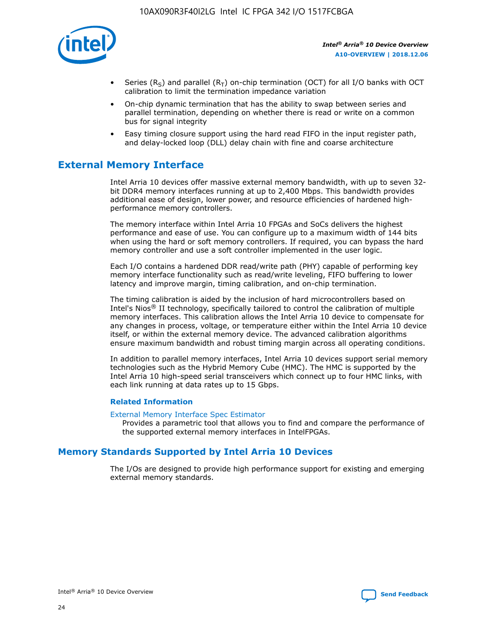

- Series (R<sub>S</sub>) and parallel (R<sub>T</sub>) on-chip termination (OCT) for all I/O banks with OCT calibration to limit the termination impedance variation
- On-chip dynamic termination that has the ability to swap between series and parallel termination, depending on whether there is read or write on a common bus for signal integrity
- Easy timing closure support using the hard read FIFO in the input register path, and delay-locked loop (DLL) delay chain with fine and coarse architecture

# **External Memory Interface**

Intel Arria 10 devices offer massive external memory bandwidth, with up to seven 32 bit DDR4 memory interfaces running at up to 2,400 Mbps. This bandwidth provides additional ease of design, lower power, and resource efficiencies of hardened highperformance memory controllers.

The memory interface within Intel Arria 10 FPGAs and SoCs delivers the highest performance and ease of use. You can configure up to a maximum width of 144 bits when using the hard or soft memory controllers. If required, you can bypass the hard memory controller and use a soft controller implemented in the user logic.

Each I/O contains a hardened DDR read/write path (PHY) capable of performing key memory interface functionality such as read/write leveling, FIFO buffering to lower latency and improve margin, timing calibration, and on-chip termination.

The timing calibration is aided by the inclusion of hard microcontrollers based on Intel's Nios® II technology, specifically tailored to control the calibration of multiple memory interfaces. This calibration allows the Intel Arria 10 device to compensate for any changes in process, voltage, or temperature either within the Intel Arria 10 device itself, or within the external memory device. The advanced calibration algorithms ensure maximum bandwidth and robust timing margin across all operating conditions.

In addition to parallel memory interfaces, Intel Arria 10 devices support serial memory technologies such as the Hybrid Memory Cube (HMC). The HMC is supported by the Intel Arria 10 high-speed serial transceivers which connect up to four HMC links, with each link running at data rates up to 15 Gbps.

#### **Related Information**

#### [External Memory Interface Spec Estimator](http://www.altera.com/technology/memory/estimator/mem-emif-index.html)

Provides a parametric tool that allows you to find and compare the performance of the supported external memory interfaces in IntelFPGAs.

# **Memory Standards Supported by Intel Arria 10 Devices**

The I/Os are designed to provide high performance support for existing and emerging external memory standards.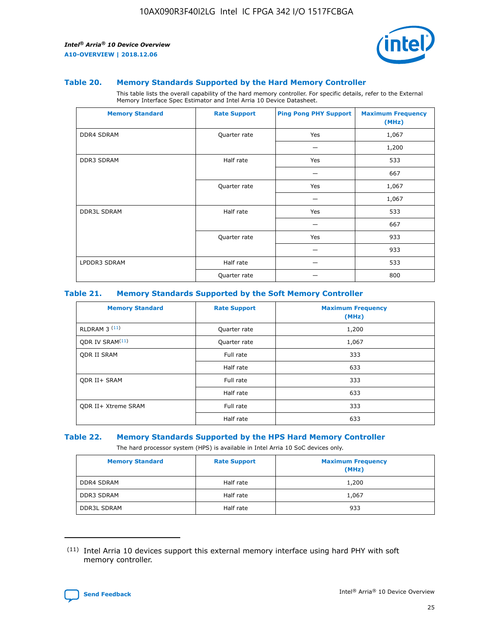

#### **Table 20. Memory Standards Supported by the Hard Memory Controller**

This table lists the overall capability of the hard memory controller. For specific details, refer to the External Memory Interface Spec Estimator and Intel Arria 10 Device Datasheet.

| <b>Memory Standard</b> | <b>Rate Support</b> | <b>Ping Pong PHY Support</b> | <b>Maximum Frequency</b><br>(MHz) |
|------------------------|---------------------|------------------------------|-----------------------------------|
| <b>DDR4 SDRAM</b>      | Quarter rate        | Yes                          | 1,067                             |
|                        |                     |                              | 1,200                             |
| DDR3 SDRAM             | Half rate           | Yes                          | 533                               |
|                        |                     |                              | 667                               |
|                        | Quarter rate        | Yes                          | 1,067                             |
|                        |                     |                              | 1,067                             |
| <b>DDR3L SDRAM</b>     | Half rate           | Yes                          | 533                               |
|                        |                     |                              | 667                               |
|                        | Quarter rate        | Yes                          | 933                               |
|                        |                     |                              | 933                               |
| LPDDR3 SDRAM           | Half rate           |                              | 533                               |
|                        | Quarter rate        |                              | 800                               |

#### **Table 21. Memory Standards Supported by the Soft Memory Controller**

| <b>Memory Standard</b>      | <b>Rate Support</b> | <b>Maximum Frequency</b><br>(MHz) |
|-----------------------------|---------------------|-----------------------------------|
| <b>RLDRAM 3 (11)</b>        | Quarter rate        | 1,200                             |
| ODR IV SRAM <sup>(11)</sup> | Quarter rate        | 1,067                             |
| <b>ODR II SRAM</b>          | Full rate           | 333                               |
|                             | Half rate           | 633                               |
| <b>ODR II+ SRAM</b>         | Full rate           | 333                               |
|                             | Half rate           | 633                               |
| <b>ODR II+ Xtreme SRAM</b>  | Full rate           | 333                               |
|                             | Half rate           | 633                               |

#### **Table 22. Memory Standards Supported by the HPS Hard Memory Controller**

The hard processor system (HPS) is available in Intel Arria 10 SoC devices only.

| <b>Memory Standard</b> | <b>Rate Support</b> | <b>Maximum Frequency</b><br>(MHz) |
|------------------------|---------------------|-----------------------------------|
| <b>DDR4 SDRAM</b>      | Half rate           | 1,200                             |
| <b>DDR3 SDRAM</b>      | Half rate           | 1,067                             |
| <b>DDR3L SDRAM</b>     | Half rate           | 933                               |

<sup>(11)</sup> Intel Arria 10 devices support this external memory interface using hard PHY with soft memory controller.

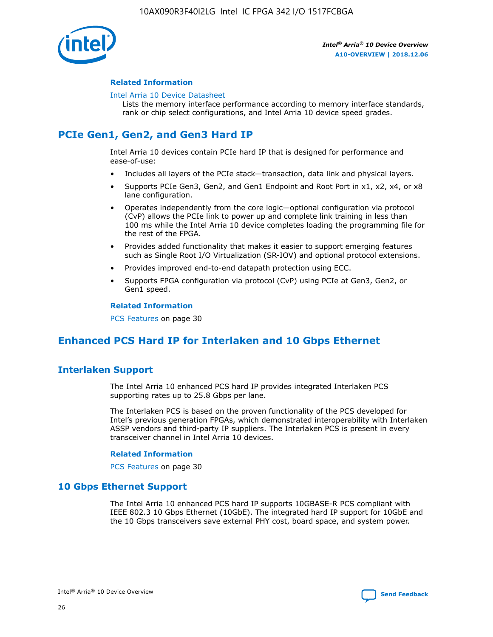

#### **Related Information**

#### [Intel Arria 10 Device Datasheet](https://www.intel.com/content/www/us/en/programmable/documentation/mcn1413182292568.html#mcn1413182153340)

Lists the memory interface performance according to memory interface standards, rank or chip select configurations, and Intel Arria 10 device speed grades.

# **PCIe Gen1, Gen2, and Gen3 Hard IP**

Intel Arria 10 devices contain PCIe hard IP that is designed for performance and ease-of-use:

- Includes all layers of the PCIe stack—transaction, data link and physical layers.
- Supports PCIe Gen3, Gen2, and Gen1 Endpoint and Root Port in x1, x2, x4, or x8 lane configuration.
- Operates independently from the core logic—optional configuration via protocol (CvP) allows the PCIe link to power up and complete link training in less than 100 ms while the Intel Arria 10 device completes loading the programming file for the rest of the FPGA.
- Provides added functionality that makes it easier to support emerging features such as Single Root I/O Virtualization (SR-IOV) and optional protocol extensions.
- Provides improved end-to-end datapath protection using ECC.
- Supports FPGA configuration via protocol (CvP) using PCIe at Gen3, Gen2, or Gen1 speed.

#### **Related Information**

PCS Features on page 30

# **Enhanced PCS Hard IP for Interlaken and 10 Gbps Ethernet**

# **Interlaken Support**

The Intel Arria 10 enhanced PCS hard IP provides integrated Interlaken PCS supporting rates up to 25.8 Gbps per lane.

The Interlaken PCS is based on the proven functionality of the PCS developed for Intel's previous generation FPGAs, which demonstrated interoperability with Interlaken ASSP vendors and third-party IP suppliers. The Interlaken PCS is present in every transceiver channel in Intel Arria 10 devices.

#### **Related Information**

PCS Features on page 30

## **10 Gbps Ethernet Support**

The Intel Arria 10 enhanced PCS hard IP supports 10GBASE-R PCS compliant with IEEE 802.3 10 Gbps Ethernet (10GbE). The integrated hard IP support for 10GbE and the 10 Gbps transceivers save external PHY cost, board space, and system power.

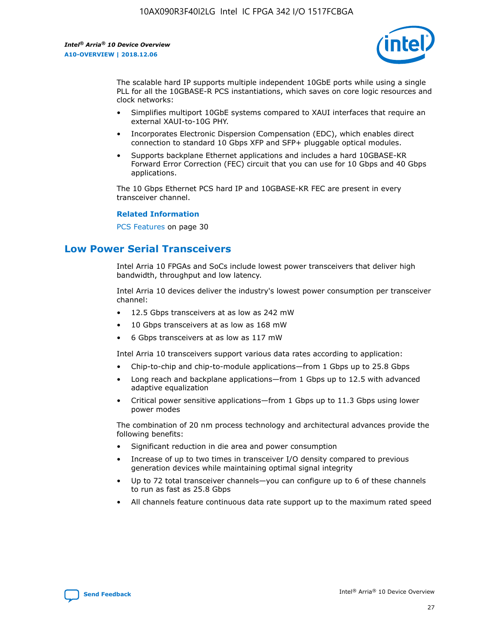

The scalable hard IP supports multiple independent 10GbE ports while using a single PLL for all the 10GBASE-R PCS instantiations, which saves on core logic resources and clock networks:

- Simplifies multiport 10GbE systems compared to XAUI interfaces that require an external XAUI-to-10G PHY.
- Incorporates Electronic Dispersion Compensation (EDC), which enables direct connection to standard 10 Gbps XFP and SFP+ pluggable optical modules.
- Supports backplane Ethernet applications and includes a hard 10GBASE-KR Forward Error Correction (FEC) circuit that you can use for 10 Gbps and 40 Gbps applications.

The 10 Gbps Ethernet PCS hard IP and 10GBASE-KR FEC are present in every transceiver channel.

#### **Related Information**

PCS Features on page 30

# **Low Power Serial Transceivers**

Intel Arria 10 FPGAs and SoCs include lowest power transceivers that deliver high bandwidth, throughput and low latency.

Intel Arria 10 devices deliver the industry's lowest power consumption per transceiver channel:

- 12.5 Gbps transceivers at as low as 242 mW
- 10 Gbps transceivers at as low as 168 mW
- 6 Gbps transceivers at as low as 117 mW

Intel Arria 10 transceivers support various data rates according to application:

- Chip-to-chip and chip-to-module applications—from 1 Gbps up to 25.8 Gbps
- Long reach and backplane applications—from 1 Gbps up to 12.5 with advanced adaptive equalization
- Critical power sensitive applications—from 1 Gbps up to 11.3 Gbps using lower power modes

The combination of 20 nm process technology and architectural advances provide the following benefits:

- Significant reduction in die area and power consumption
- Increase of up to two times in transceiver I/O density compared to previous generation devices while maintaining optimal signal integrity
- Up to 72 total transceiver channels—you can configure up to 6 of these channels to run as fast as 25.8 Gbps
- All channels feature continuous data rate support up to the maximum rated speed

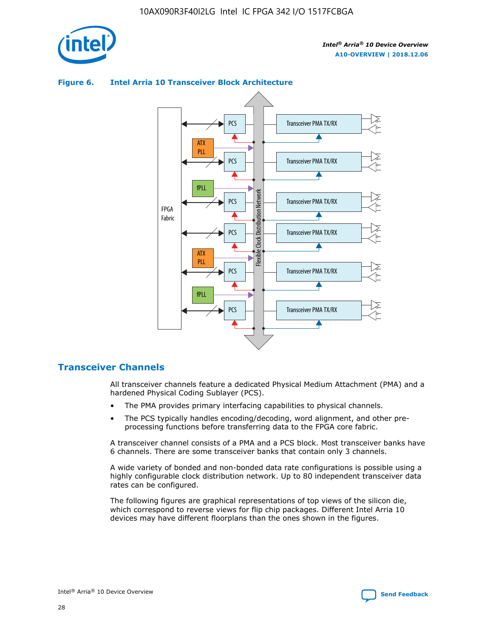

# Transceiver PMA TX/RX PCS ATX PLL Transceiver PMA TX/RX PCS fPLL Network Flexible Clock Distribution Network PCS Transceiver PMA TX/RX FPGA **Clock Distribution** Fabric PCS Transceiver PMA TX/RX ATX Flexible PLL PCS Transceiver PMA TX/RX ▲ fPLL Transceiver PMA TX/RX PCS 4

## **Figure 6. Intel Arria 10 Transceiver Block Architecture**

## **Transceiver Channels**

All transceiver channels feature a dedicated Physical Medium Attachment (PMA) and a hardened Physical Coding Sublayer (PCS).

- The PMA provides primary interfacing capabilities to physical channels.
- The PCS typically handles encoding/decoding, word alignment, and other preprocessing functions before transferring data to the FPGA core fabric.

A transceiver channel consists of a PMA and a PCS block. Most transceiver banks have 6 channels. There are some transceiver banks that contain only 3 channels.

A wide variety of bonded and non-bonded data rate configurations is possible using a highly configurable clock distribution network. Up to 80 independent transceiver data rates can be configured.

The following figures are graphical representations of top views of the silicon die, which correspond to reverse views for flip chip packages. Different Intel Arria 10 devices may have different floorplans than the ones shown in the figures.

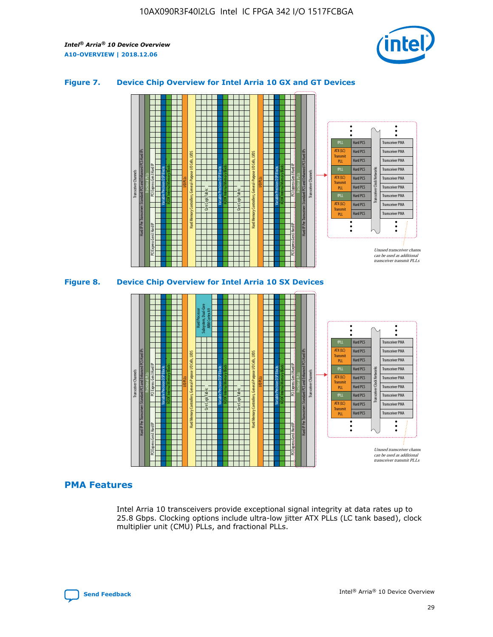

## **Figure 7. Device Chip Overview for Intel Arria 10 GX and GT Devices**



M20K Internal Memory Blocks Core Logic Fabric Transceiver Channels Hard IP Per Transceiver: Standard PCS and Enhanced PCS Hard IPs PCI Express Gen3 Hard IP Fractional PLLs M20K Internal Memory Blocks PCI Express Gen3 Hard IP Variable Precision DSP Blocks I/O PLLs Hard Memory Controllers, General-Purpose I/O Cells, LVDS Hard Processor Subsystem, Dual-Core ARM Cortex A9 M20K Internal Memory Blocks Variable Precision DSP Blocks M20K Internal Memory Blocks Core Logic Fabric I/O PLLs Hard Memory Controllers, General-Purpose I/O Cells, LVDS M20K Internal Memory Blocks Variable Precision DSP Blocks M20K Internal Memory Blocks Transceiver Channels Hard IP Per Transceiver: Standard PCS and Enhanced PCS Hard IPs PCI Express Gen3 Hard IP Fractional PLLs PCI Express Gen3 Hard IP  $\ddot{\cdot}$ Hard PCS Transceiver PMA fPLL ATX (LC) Hard PCS Transceiver PMA **Transmit** Hard PCS Transceiver PMA PLL fPLL Hard PCS Transceiver PMA Transceiver Clock Networks ATX (LC) Hard PCS Transceiver PMA Transmi Hard PCS Transceiver PMA PLL fPLL Hard PCS Transceiver PMA Transceiver PMA Hard PCS ATX (LC) **Transmit** Hard PCS Transceiver PMA PLL Unused transceiver chann can be used as additional transceiver transmit PLLs

## **PMA Features**

Intel Arria 10 transceivers provide exceptional signal integrity at data rates up to 25.8 Gbps. Clocking options include ultra-low jitter ATX PLLs (LC tank based), clock multiplier unit (CMU) PLLs, and fractional PLLs.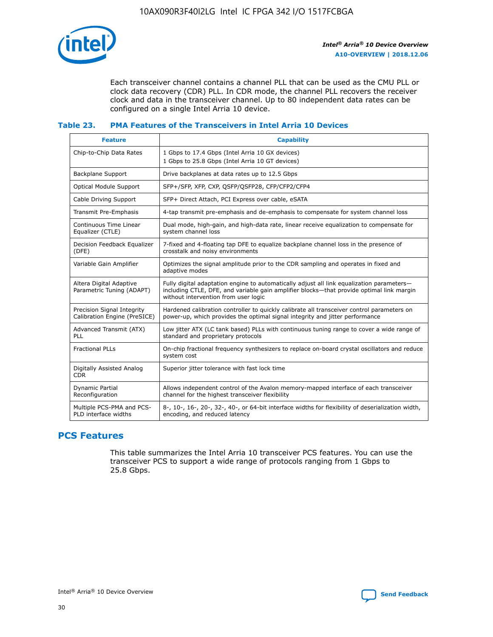

Each transceiver channel contains a channel PLL that can be used as the CMU PLL or clock data recovery (CDR) PLL. In CDR mode, the channel PLL recovers the receiver clock and data in the transceiver channel. Up to 80 independent data rates can be configured on a single Intel Arria 10 device.

# **Table 23. PMA Features of the Transceivers in Intel Arria 10 Devices**

| <b>Feature</b>                                             | <b>Capability</b>                                                                                                                                                                                                             |
|------------------------------------------------------------|-------------------------------------------------------------------------------------------------------------------------------------------------------------------------------------------------------------------------------|
| Chip-to-Chip Data Rates                                    | 1 Gbps to 17.4 Gbps (Intel Arria 10 GX devices)<br>1 Gbps to 25.8 Gbps (Intel Arria 10 GT devices)                                                                                                                            |
| <b>Backplane Support</b>                                   | Drive backplanes at data rates up to 12.5 Gbps                                                                                                                                                                                |
| <b>Optical Module Support</b>                              | SFP+/SFP, XFP, CXP, QSFP/QSFP28, CFP/CFP2/CFP4                                                                                                                                                                                |
| Cable Driving Support                                      | SFP+ Direct Attach, PCI Express over cable, eSATA                                                                                                                                                                             |
| Transmit Pre-Emphasis                                      | 4-tap transmit pre-emphasis and de-emphasis to compensate for system channel loss                                                                                                                                             |
| Continuous Time Linear<br>Equalizer (CTLE)                 | Dual mode, high-gain, and high-data rate, linear receive equalization to compensate for<br>system channel loss                                                                                                                |
| Decision Feedback Equalizer<br>(DFE)                       | 7-fixed and 4-floating tap DFE to equalize backplane channel loss in the presence of<br>crosstalk and noisy environments                                                                                                      |
| Variable Gain Amplifier                                    | Optimizes the signal amplitude prior to the CDR sampling and operates in fixed and<br>adaptive modes                                                                                                                          |
| Altera Digital Adaptive<br>Parametric Tuning (ADAPT)       | Fully digital adaptation engine to automatically adjust all link equalization parameters-<br>including CTLE, DFE, and variable gain amplifier blocks—that provide optimal link margin<br>without intervention from user logic |
| Precision Signal Integrity<br>Calibration Engine (PreSICE) | Hardened calibration controller to quickly calibrate all transceiver control parameters on<br>power-up, which provides the optimal signal integrity and jitter performance                                                    |
| Advanced Transmit (ATX)<br>PLL                             | Low jitter ATX (LC tank based) PLLs with continuous tuning range to cover a wide range of<br>standard and proprietary protocols                                                                                               |
| <b>Fractional PLLs</b>                                     | On-chip fractional frequency synthesizers to replace on-board crystal oscillators and reduce<br>system cost                                                                                                                   |
| Digitally Assisted Analog<br><b>CDR</b>                    | Superior jitter tolerance with fast lock time                                                                                                                                                                                 |
| Dynamic Partial<br>Reconfiguration                         | Allows independent control of the Avalon memory-mapped interface of each transceiver<br>channel for the highest transceiver flexibility                                                                                       |
| Multiple PCS-PMA and PCS-<br>PLD interface widths          | 8-, 10-, 16-, 20-, 32-, 40-, or 64-bit interface widths for flexibility of deserialization width,<br>encoding, and reduced latency                                                                                            |

# **PCS Features**

This table summarizes the Intel Arria 10 transceiver PCS features. You can use the transceiver PCS to support a wide range of protocols ranging from 1 Gbps to 25.8 Gbps.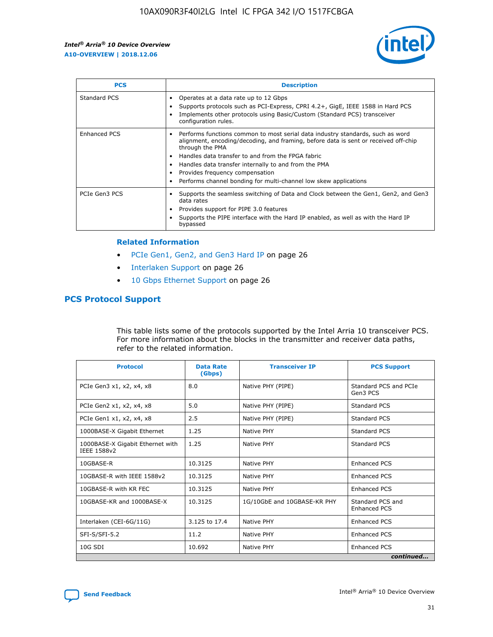

| <b>PCS</b>    | <b>Description</b>                                                                                                                                                                                                                                                                                                                                                                                             |
|---------------|----------------------------------------------------------------------------------------------------------------------------------------------------------------------------------------------------------------------------------------------------------------------------------------------------------------------------------------------------------------------------------------------------------------|
| Standard PCS  | Operates at a data rate up to 12 Gbps<br>Supports protocols such as PCI-Express, CPRI 4.2+, GigE, IEEE 1588 in Hard PCS<br>Implements other protocols using Basic/Custom (Standard PCS) transceiver<br>configuration rules.                                                                                                                                                                                    |
| Enhanced PCS  | Performs functions common to most serial data industry standards, such as word<br>alignment, encoding/decoding, and framing, before data is sent or received off-chip<br>through the PMA<br>• Handles data transfer to and from the FPGA fabric<br>Handles data transfer internally to and from the PMA<br>Provides frequency compensation<br>Performs channel bonding for multi-channel low skew applications |
| PCIe Gen3 PCS | Supports the seamless switching of Data and Clock between the Gen1, Gen2, and Gen3<br>data rates<br>Provides support for PIPE 3.0 features<br>Supports the PIPE interface with the Hard IP enabled, as well as with the Hard IP<br>bypassed                                                                                                                                                                    |

#### **Related Information**

- PCIe Gen1, Gen2, and Gen3 Hard IP on page 26
- Interlaken Support on page 26
- 10 Gbps Ethernet Support on page 26

# **PCS Protocol Support**

This table lists some of the protocols supported by the Intel Arria 10 transceiver PCS. For more information about the blocks in the transmitter and receiver data paths, refer to the related information.

| <b>Protocol</b>                                 | <b>Data Rate</b><br>(Gbps) | <b>Transceiver IP</b>       | <b>PCS Support</b>                      |
|-------------------------------------------------|----------------------------|-----------------------------|-----------------------------------------|
| PCIe Gen3 x1, x2, x4, x8                        | 8.0                        | Native PHY (PIPE)           | Standard PCS and PCIe<br>Gen3 PCS       |
| PCIe Gen2 x1, x2, x4, x8                        | 5.0                        | Native PHY (PIPE)           | <b>Standard PCS</b>                     |
| PCIe Gen1 x1, x2, x4, x8                        | 2.5                        | Native PHY (PIPE)           | Standard PCS                            |
| 1000BASE-X Gigabit Ethernet                     | 1.25                       | Native PHY                  | <b>Standard PCS</b>                     |
| 1000BASE-X Gigabit Ethernet with<br>IEEE 1588v2 | 1.25                       | Native PHY                  | Standard PCS                            |
| 10GBASE-R                                       | 10.3125                    | Native PHY                  | <b>Enhanced PCS</b>                     |
| 10GBASE-R with IEEE 1588v2                      | 10.3125                    | Native PHY                  | <b>Enhanced PCS</b>                     |
| 10GBASE-R with KR FEC                           | 10.3125                    | Native PHY                  | <b>Enhanced PCS</b>                     |
| 10GBASE-KR and 1000BASE-X                       | 10.3125                    | 1G/10GbE and 10GBASE-KR PHY | Standard PCS and<br><b>Enhanced PCS</b> |
| Interlaken (CEI-6G/11G)                         | 3.125 to 17.4              | Native PHY                  | <b>Enhanced PCS</b>                     |
| SFI-S/SFI-5.2                                   | 11.2                       | Native PHY                  | <b>Enhanced PCS</b>                     |
| $10G$ SDI                                       | 10.692                     | Native PHY                  | <b>Enhanced PCS</b>                     |
|                                                 |                            |                             | continued                               |

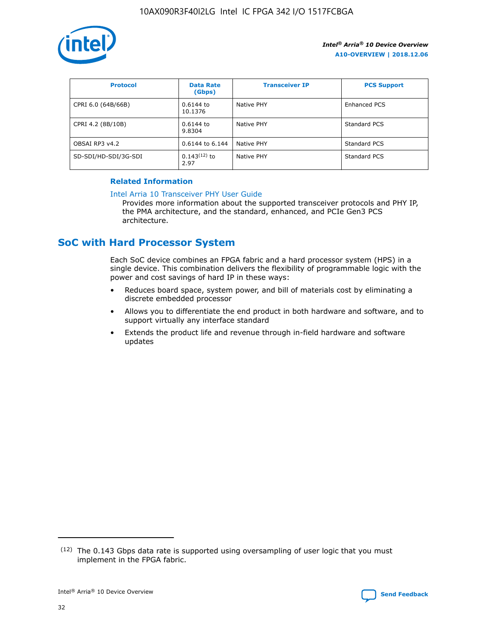

| <b>Protocol</b>      | <b>Data Rate</b><br>(Gbps) | <b>Transceiver IP</b> | <b>PCS Support</b> |
|----------------------|----------------------------|-----------------------|--------------------|
| CPRI 6.0 (64B/66B)   | 0.6144 to<br>10.1376       | Native PHY            | Enhanced PCS       |
| CPRI 4.2 (8B/10B)    | 0.6144 to<br>9.8304        | Native PHY            | Standard PCS       |
| OBSAI RP3 v4.2       | 0.6144 to 6.144            | Native PHY            | Standard PCS       |
| SD-SDI/HD-SDI/3G-SDI | $0.143(12)$ to<br>2.97     | Native PHY            | Standard PCS       |

## **Related Information**

#### [Intel Arria 10 Transceiver PHY User Guide](https://www.intel.com/content/www/us/en/programmable/documentation/nik1398707230472.html#nik1398707091164)

Provides more information about the supported transceiver protocols and PHY IP, the PMA architecture, and the standard, enhanced, and PCIe Gen3 PCS architecture.

# **SoC with Hard Processor System**

Each SoC device combines an FPGA fabric and a hard processor system (HPS) in a single device. This combination delivers the flexibility of programmable logic with the power and cost savings of hard IP in these ways:

- Reduces board space, system power, and bill of materials cost by eliminating a discrete embedded processor
- Allows you to differentiate the end product in both hardware and software, and to support virtually any interface standard
- Extends the product life and revenue through in-field hardware and software updates

<sup>(12)</sup> The 0.143 Gbps data rate is supported using oversampling of user logic that you must implement in the FPGA fabric.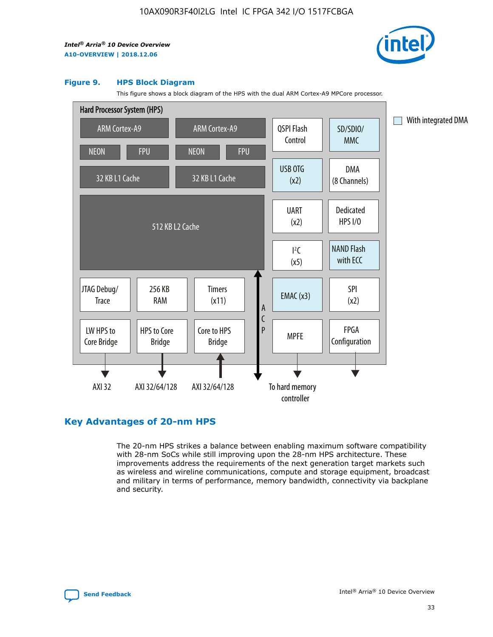

#### **Figure 9. HPS Block Diagram**

This figure shows a block diagram of the HPS with the dual ARM Cortex-A9 MPCore processor.



# **Key Advantages of 20-nm HPS**

The 20-nm HPS strikes a balance between enabling maximum software compatibility with 28-nm SoCs while still improving upon the 28-nm HPS architecture. These improvements address the requirements of the next generation target markets such as wireless and wireline communications, compute and storage equipment, broadcast and military in terms of performance, memory bandwidth, connectivity via backplane and security.

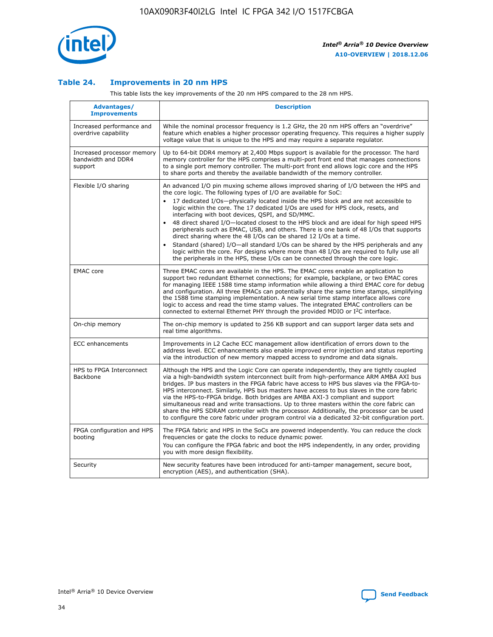

## **Table 24. Improvements in 20 nm HPS**

This table lists the key improvements of the 20 nm HPS compared to the 28 nm HPS.

| <b>Advantages/</b><br><b>Improvements</b>                   | <b>Description</b>                                                                                                                                                                                                                                                                                                                                                                                                                                                                                                                                                                                                                                                                                                                                                                                                                                                                                                      |
|-------------------------------------------------------------|-------------------------------------------------------------------------------------------------------------------------------------------------------------------------------------------------------------------------------------------------------------------------------------------------------------------------------------------------------------------------------------------------------------------------------------------------------------------------------------------------------------------------------------------------------------------------------------------------------------------------------------------------------------------------------------------------------------------------------------------------------------------------------------------------------------------------------------------------------------------------------------------------------------------------|
| Increased performance and<br>overdrive capability           | While the nominal processor frequency is 1.2 GHz, the 20 nm HPS offers an "overdrive"<br>feature which enables a higher processor operating frequency. This requires a higher supply<br>voltage value that is unique to the HPS and may require a separate regulator.                                                                                                                                                                                                                                                                                                                                                                                                                                                                                                                                                                                                                                                   |
| Increased processor memory<br>bandwidth and DDR4<br>support | Up to 64-bit DDR4 memory at 2,400 Mbps support is available for the processor. The hard<br>memory controller for the HPS comprises a multi-port front end that manages connections<br>to a single port memory controller. The multi-port front end allows logic core and the HPS<br>to share ports and thereby the available bandwidth of the memory controller.                                                                                                                                                                                                                                                                                                                                                                                                                                                                                                                                                        |
| Flexible I/O sharing                                        | An advanced I/O pin muxing scheme allows improved sharing of I/O between the HPS and<br>the core logic. The following types of I/O are available for SoC:<br>17 dedicated I/Os-physically located inside the HPS block and are not accessible to<br>logic within the core. The 17 dedicated I/Os are used for HPS clock, resets, and<br>interfacing with boot devices, QSPI, and SD/MMC.<br>48 direct shared I/O-located closest to the HPS block and are ideal for high speed HPS<br>peripherals such as EMAC, USB, and others. There is one bank of 48 I/Os that supports<br>direct sharing where the 48 I/Os can be shared 12 I/Os at a time.<br>Standard (shared) I/O-all standard I/Os can be shared by the HPS peripherals and any<br>logic within the core. For designs where more than 48 I/Os are required to fully use all<br>the peripherals in the HPS, these I/Os can be connected through the core logic. |
| <b>EMAC</b> core                                            | Three EMAC cores are available in the HPS. The EMAC cores enable an application to<br>support two redundant Ethernet connections; for example, backplane, or two EMAC cores<br>for managing IEEE 1588 time stamp information while allowing a third EMAC core for debug<br>and configuration. All three EMACs can potentially share the same time stamps, simplifying<br>the 1588 time stamping implementation. A new serial time stamp interface allows core<br>logic to access and read the time stamp values. The integrated EMAC controllers can be<br>connected to external Ethernet PHY through the provided MDIO or I <sup>2</sup> C interface.                                                                                                                                                                                                                                                                  |
| On-chip memory                                              | The on-chip memory is updated to 256 KB support and can support larger data sets and<br>real time algorithms.                                                                                                                                                                                                                                                                                                                                                                                                                                                                                                                                                                                                                                                                                                                                                                                                           |
| <b>ECC</b> enhancements                                     | Improvements in L2 Cache ECC management allow identification of errors down to the<br>address level. ECC enhancements also enable improved error injection and status reporting<br>via the introduction of new memory mapped access to syndrome and data signals.                                                                                                                                                                                                                                                                                                                                                                                                                                                                                                                                                                                                                                                       |
| HPS to FPGA Interconnect<br><b>Backbone</b>                 | Although the HPS and the Logic Core can operate independently, they are tightly coupled<br>via a high-bandwidth system interconnect built from high-performance ARM AMBA AXI bus<br>bridges. IP bus masters in the FPGA fabric have access to HPS bus slaves via the FPGA-to-<br>HPS interconnect. Similarly, HPS bus masters have access to bus slaves in the core fabric<br>via the HPS-to-FPGA bridge. Both bridges are AMBA AXI-3 compliant and support<br>simultaneous read and write transactions. Up to three masters within the core fabric can<br>share the HPS SDRAM controller with the processor. Additionally, the processor can be used<br>to configure the core fabric under program control via a dedicated 32-bit configuration port.                                                                                                                                                                  |
| FPGA configuration and HPS<br>booting                       | The FPGA fabric and HPS in the SoCs are powered independently. You can reduce the clock<br>frequencies or gate the clocks to reduce dynamic power.<br>You can configure the FPGA fabric and boot the HPS independently, in any order, providing<br>you with more design flexibility.                                                                                                                                                                                                                                                                                                                                                                                                                                                                                                                                                                                                                                    |
| Security                                                    | New security features have been introduced for anti-tamper management, secure boot,<br>encryption (AES), and authentication (SHA).                                                                                                                                                                                                                                                                                                                                                                                                                                                                                                                                                                                                                                                                                                                                                                                      |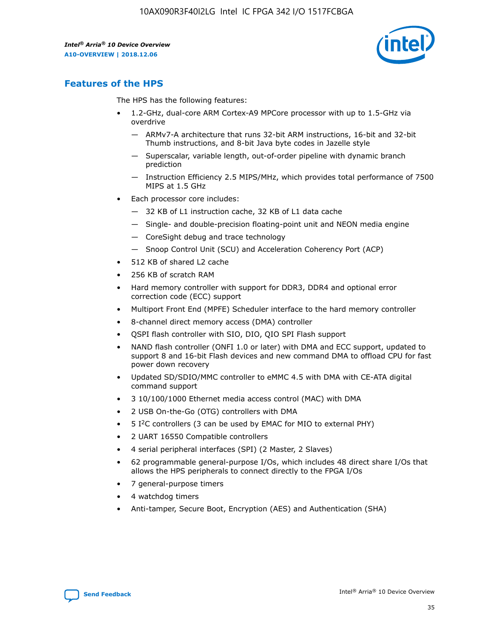

# **Features of the HPS**

The HPS has the following features:

- 1.2-GHz, dual-core ARM Cortex-A9 MPCore processor with up to 1.5-GHz via overdrive
	- ARMv7-A architecture that runs 32-bit ARM instructions, 16-bit and 32-bit Thumb instructions, and 8-bit Java byte codes in Jazelle style
	- Superscalar, variable length, out-of-order pipeline with dynamic branch prediction
	- Instruction Efficiency 2.5 MIPS/MHz, which provides total performance of 7500 MIPS at 1.5 GHz
- Each processor core includes:
	- 32 KB of L1 instruction cache, 32 KB of L1 data cache
	- Single- and double-precision floating-point unit and NEON media engine
	- CoreSight debug and trace technology
	- Snoop Control Unit (SCU) and Acceleration Coherency Port (ACP)
- 512 KB of shared L2 cache
- 256 KB of scratch RAM
- Hard memory controller with support for DDR3, DDR4 and optional error correction code (ECC) support
- Multiport Front End (MPFE) Scheduler interface to the hard memory controller
- 8-channel direct memory access (DMA) controller
- QSPI flash controller with SIO, DIO, QIO SPI Flash support
- NAND flash controller (ONFI 1.0 or later) with DMA and ECC support, updated to support 8 and 16-bit Flash devices and new command DMA to offload CPU for fast power down recovery
- Updated SD/SDIO/MMC controller to eMMC 4.5 with DMA with CE-ATA digital command support
- 3 10/100/1000 Ethernet media access control (MAC) with DMA
- 2 USB On-the-Go (OTG) controllers with DMA
- $\bullet$  5 I<sup>2</sup>C controllers (3 can be used by EMAC for MIO to external PHY)
- 2 UART 16550 Compatible controllers
- 4 serial peripheral interfaces (SPI) (2 Master, 2 Slaves)
- 62 programmable general-purpose I/Os, which includes 48 direct share I/Os that allows the HPS peripherals to connect directly to the FPGA I/Os
- 7 general-purpose timers
- 4 watchdog timers
- Anti-tamper, Secure Boot, Encryption (AES) and Authentication (SHA)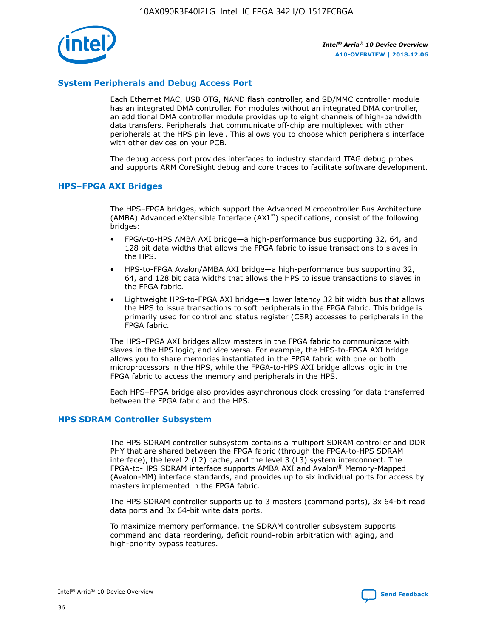

## **System Peripherals and Debug Access Port**

Each Ethernet MAC, USB OTG, NAND flash controller, and SD/MMC controller module has an integrated DMA controller. For modules without an integrated DMA controller, an additional DMA controller module provides up to eight channels of high-bandwidth data transfers. Peripherals that communicate off-chip are multiplexed with other peripherals at the HPS pin level. This allows you to choose which peripherals interface with other devices on your PCB.

The debug access port provides interfaces to industry standard JTAG debug probes and supports ARM CoreSight debug and core traces to facilitate software development.

## **HPS–FPGA AXI Bridges**

The HPS–FPGA bridges, which support the Advanced Microcontroller Bus Architecture (AMBA) Advanced eXtensible Interface (AXI™) specifications, consist of the following bridges:

- FPGA-to-HPS AMBA AXI bridge—a high-performance bus supporting 32, 64, and 128 bit data widths that allows the FPGA fabric to issue transactions to slaves in the HPS.
- HPS-to-FPGA Avalon/AMBA AXI bridge—a high-performance bus supporting 32, 64, and 128 bit data widths that allows the HPS to issue transactions to slaves in the FPGA fabric.
- Lightweight HPS-to-FPGA AXI bridge—a lower latency 32 bit width bus that allows the HPS to issue transactions to soft peripherals in the FPGA fabric. This bridge is primarily used for control and status register (CSR) accesses to peripherals in the FPGA fabric.

The HPS–FPGA AXI bridges allow masters in the FPGA fabric to communicate with slaves in the HPS logic, and vice versa. For example, the HPS-to-FPGA AXI bridge allows you to share memories instantiated in the FPGA fabric with one or both microprocessors in the HPS, while the FPGA-to-HPS AXI bridge allows logic in the FPGA fabric to access the memory and peripherals in the HPS.

Each HPS–FPGA bridge also provides asynchronous clock crossing for data transferred between the FPGA fabric and the HPS.

#### **HPS SDRAM Controller Subsystem**

The HPS SDRAM controller subsystem contains a multiport SDRAM controller and DDR PHY that are shared between the FPGA fabric (through the FPGA-to-HPS SDRAM interface), the level 2 (L2) cache, and the level 3 (L3) system interconnect. The FPGA-to-HPS SDRAM interface supports AMBA AXI and Avalon® Memory-Mapped (Avalon-MM) interface standards, and provides up to six individual ports for access by masters implemented in the FPGA fabric.

The HPS SDRAM controller supports up to 3 masters (command ports), 3x 64-bit read data ports and 3x 64-bit write data ports.

To maximize memory performance, the SDRAM controller subsystem supports command and data reordering, deficit round-robin arbitration with aging, and high-priority bypass features.

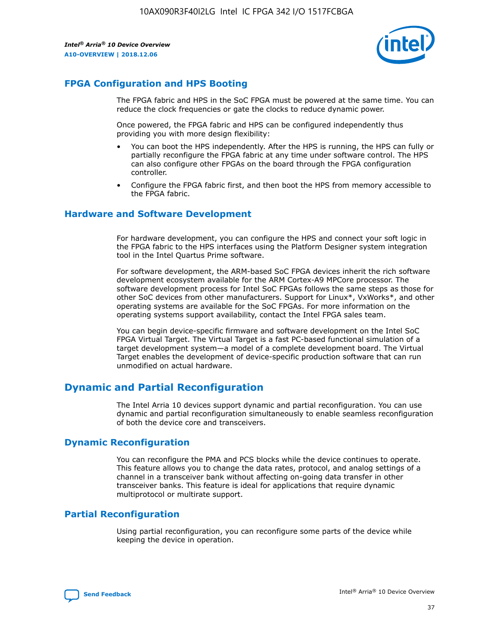

# **FPGA Configuration and HPS Booting**

The FPGA fabric and HPS in the SoC FPGA must be powered at the same time. You can reduce the clock frequencies or gate the clocks to reduce dynamic power.

Once powered, the FPGA fabric and HPS can be configured independently thus providing you with more design flexibility:

- You can boot the HPS independently. After the HPS is running, the HPS can fully or partially reconfigure the FPGA fabric at any time under software control. The HPS can also configure other FPGAs on the board through the FPGA configuration controller.
- Configure the FPGA fabric first, and then boot the HPS from memory accessible to the FPGA fabric.

## **Hardware and Software Development**

For hardware development, you can configure the HPS and connect your soft logic in the FPGA fabric to the HPS interfaces using the Platform Designer system integration tool in the Intel Quartus Prime software.

For software development, the ARM-based SoC FPGA devices inherit the rich software development ecosystem available for the ARM Cortex-A9 MPCore processor. The software development process for Intel SoC FPGAs follows the same steps as those for other SoC devices from other manufacturers. Support for Linux\*, VxWorks\*, and other operating systems are available for the SoC FPGAs. For more information on the operating systems support availability, contact the Intel FPGA sales team.

You can begin device-specific firmware and software development on the Intel SoC FPGA Virtual Target. The Virtual Target is a fast PC-based functional simulation of a target development system—a model of a complete development board. The Virtual Target enables the development of device-specific production software that can run unmodified on actual hardware.

# **Dynamic and Partial Reconfiguration**

The Intel Arria 10 devices support dynamic and partial reconfiguration. You can use dynamic and partial reconfiguration simultaneously to enable seamless reconfiguration of both the device core and transceivers.

# **Dynamic Reconfiguration**

You can reconfigure the PMA and PCS blocks while the device continues to operate. This feature allows you to change the data rates, protocol, and analog settings of a channel in a transceiver bank without affecting on-going data transfer in other transceiver banks. This feature is ideal for applications that require dynamic multiprotocol or multirate support.

# **Partial Reconfiguration**

Using partial reconfiguration, you can reconfigure some parts of the device while keeping the device in operation.

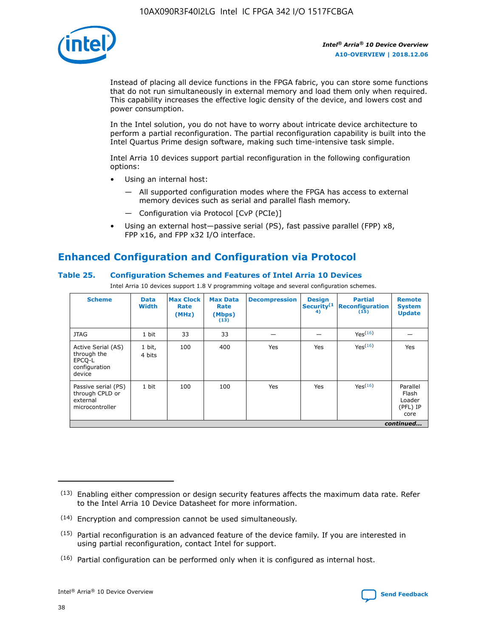

Instead of placing all device functions in the FPGA fabric, you can store some functions that do not run simultaneously in external memory and load them only when required. This capability increases the effective logic density of the device, and lowers cost and power consumption.

In the Intel solution, you do not have to worry about intricate device architecture to perform a partial reconfiguration. The partial reconfiguration capability is built into the Intel Quartus Prime design software, making such time-intensive task simple.

Intel Arria 10 devices support partial reconfiguration in the following configuration options:

- Using an internal host:
	- All supported configuration modes where the FPGA has access to external memory devices such as serial and parallel flash memory.
	- Configuration via Protocol [CvP (PCIe)]
- Using an external host—passive serial (PS), fast passive parallel (FPP) x8, FPP x16, and FPP x32 I/O interface.

# **Enhanced Configuration and Configuration via Protocol**

## **Table 25. Configuration Schemes and Features of Intel Arria 10 Devices**

Intel Arria 10 devices support 1.8 V programming voltage and several configuration schemes.

| <b>Scheme</b>                                                          | <b>Data</b><br><b>Width</b> | <b>Max Clock</b><br>Rate<br>(MHz) | <b>Max Data</b><br>Rate<br>(Mbps)<br>(13) | <b>Decompression</b> | <b>Design</b><br>Security <sup>(1</sup><br>4) | <b>Partial</b><br><b>Reconfiguration</b><br>(15) | <b>Remote</b><br><b>System</b><br><b>Update</b> |
|------------------------------------------------------------------------|-----------------------------|-----------------------------------|-------------------------------------------|----------------------|-----------------------------------------------|--------------------------------------------------|-------------------------------------------------|
| <b>JTAG</b>                                                            | 1 bit                       | 33                                | 33                                        |                      |                                               | Yes(16)                                          |                                                 |
| Active Serial (AS)<br>through the<br>EPCO-L<br>configuration<br>device | 1 bit,<br>4 bits            | 100                               | 400                                       | Yes                  | Yes                                           | $Y_{PS}(16)$                                     | Yes                                             |
| Passive serial (PS)<br>through CPLD or<br>external<br>microcontroller  | 1 bit                       | 100                               | 100                                       | Yes                  | Yes                                           | Yes(16)                                          | Parallel<br>Flash<br>Loader<br>(PFL) IP<br>core |
|                                                                        |                             |                                   |                                           |                      |                                               |                                                  | continued                                       |

<sup>(13)</sup> Enabling either compression or design security features affects the maximum data rate. Refer to the Intel Arria 10 Device Datasheet for more information.

<sup>(14)</sup> Encryption and compression cannot be used simultaneously.

 $(15)$  Partial reconfiguration is an advanced feature of the device family. If you are interested in using partial reconfiguration, contact Intel for support.

 $(16)$  Partial configuration can be performed only when it is configured as internal host.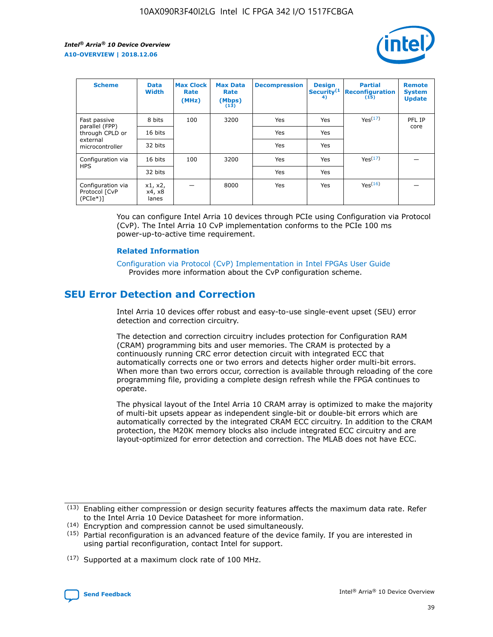

| <b>Scheme</b>                                   | <b>Data</b><br><b>Width</b> | <b>Max Clock</b><br>Rate<br>(MHz) | <b>Max Data</b><br>Rate<br>(Mbps)<br>(13) | <b>Decompression</b> | <b>Design</b><br>Security <sup>(1</sup><br>4) | <b>Partial</b><br><b>Reconfiguration</b><br>(15) | <b>Remote</b><br><b>System</b><br><b>Update</b> |
|-------------------------------------------------|-----------------------------|-----------------------------------|-------------------------------------------|----------------------|-----------------------------------------------|--------------------------------------------------|-------------------------------------------------|
| Fast passive                                    | 8 bits                      | 100                               | 3200                                      | Yes                  | Yes                                           | Yes(17)                                          | PFL IP                                          |
| parallel (FPP)<br>through CPLD or               | 16 bits                     |                                   |                                           | Yes                  | Yes                                           |                                                  | core                                            |
| external<br>microcontroller                     | 32 bits                     |                                   |                                           | Yes                  | Yes                                           |                                                  |                                                 |
| Configuration via                               | 16 bits                     | 100                               | 3200                                      | Yes                  | Yes                                           | Yes <sup>(17)</sup>                              |                                                 |
| <b>HPS</b>                                      | 32 bits                     |                                   |                                           | Yes                  | Yes                                           |                                                  |                                                 |
| Configuration via<br>Protocol [CvP<br>$(PCIe*)$ | x1, x2,<br>x4, x8<br>lanes  |                                   | 8000                                      | Yes                  | Yes                                           | Yes(16)                                          |                                                 |

You can configure Intel Arria 10 devices through PCIe using Configuration via Protocol (CvP). The Intel Arria 10 CvP implementation conforms to the PCIe 100 ms power-up-to-active time requirement.

#### **Related Information**

[Configuration via Protocol \(CvP\) Implementation in Intel FPGAs User Guide](https://www.intel.com/content/www/us/en/programmable/documentation/dsu1441819344145.html#dsu1442269728522) Provides more information about the CvP configuration scheme.

# **SEU Error Detection and Correction**

Intel Arria 10 devices offer robust and easy-to-use single-event upset (SEU) error detection and correction circuitry.

The detection and correction circuitry includes protection for Configuration RAM (CRAM) programming bits and user memories. The CRAM is protected by a continuously running CRC error detection circuit with integrated ECC that automatically corrects one or two errors and detects higher order multi-bit errors. When more than two errors occur, correction is available through reloading of the core programming file, providing a complete design refresh while the FPGA continues to operate.

The physical layout of the Intel Arria 10 CRAM array is optimized to make the majority of multi-bit upsets appear as independent single-bit or double-bit errors which are automatically corrected by the integrated CRAM ECC circuitry. In addition to the CRAM protection, the M20K memory blocks also include integrated ECC circuitry and are layout-optimized for error detection and correction. The MLAB does not have ECC.

<sup>(17)</sup> Supported at a maximum clock rate of 100 MHz.



 $(13)$  Enabling either compression or design security features affects the maximum data rate. Refer to the Intel Arria 10 Device Datasheet for more information.

<sup>(14)</sup> Encryption and compression cannot be used simultaneously.

 $(15)$  Partial reconfiguration is an advanced feature of the device family. If you are interested in using partial reconfiguration, contact Intel for support.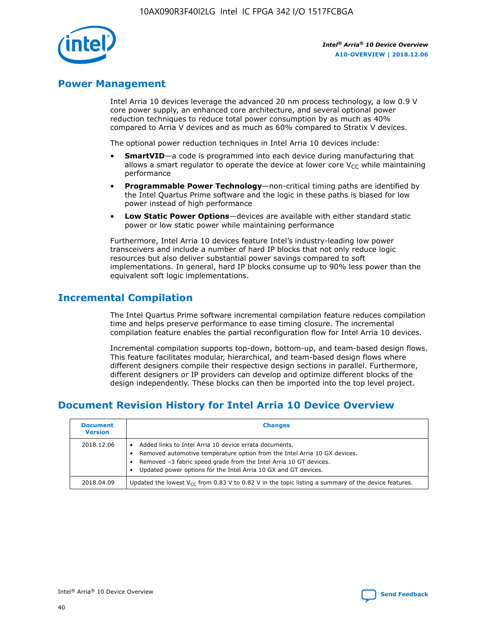

# **Power Management**

Intel Arria 10 devices leverage the advanced 20 nm process technology, a low 0.9 V core power supply, an enhanced core architecture, and several optional power reduction techniques to reduce total power consumption by as much as 40% compared to Arria V devices and as much as 60% compared to Stratix V devices.

The optional power reduction techniques in Intel Arria 10 devices include:

- **SmartVID**—a code is programmed into each device during manufacturing that allows a smart regulator to operate the device at lower core  $V_{CC}$  while maintaining performance
- **Programmable Power Technology**—non-critical timing paths are identified by the Intel Quartus Prime software and the logic in these paths is biased for low power instead of high performance
- **Low Static Power Options**—devices are available with either standard static power or low static power while maintaining performance

Furthermore, Intel Arria 10 devices feature Intel's industry-leading low power transceivers and include a number of hard IP blocks that not only reduce logic resources but also deliver substantial power savings compared to soft implementations. In general, hard IP blocks consume up to 90% less power than the equivalent soft logic implementations.

# **Incremental Compilation**

The Intel Quartus Prime software incremental compilation feature reduces compilation time and helps preserve performance to ease timing closure. The incremental compilation feature enables the partial reconfiguration flow for Intel Arria 10 devices.

Incremental compilation supports top-down, bottom-up, and team-based design flows. This feature facilitates modular, hierarchical, and team-based design flows where different designers compile their respective design sections in parallel. Furthermore, different designers or IP providers can develop and optimize different blocks of the design independently. These blocks can then be imported into the top level project.

# **Document Revision History for Intel Arria 10 Device Overview**

| <b>Document</b><br><b>Version</b> | <b>Changes</b>                                                                                                                                                                                                                                                              |
|-----------------------------------|-----------------------------------------------------------------------------------------------------------------------------------------------------------------------------------------------------------------------------------------------------------------------------|
| 2018.12.06                        | Added links to Intel Arria 10 device errata documents.<br>Removed automotive temperature option from the Intel Arria 10 GX devices.<br>Removed -3 fabric speed grade from the Intel Arria 10 GT devices.<br>Updated power options for the Intel Arria 10 GX and GT devices. |
| 2018.04.09                        | Updated the lowest $V_{CC}$ from 0.83 V to 0.82 V in the topic listing a summary of the device features.                                                                                                                                                                    |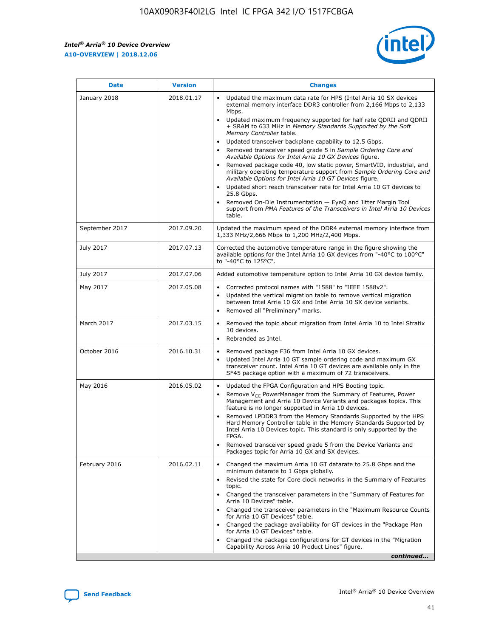*Intel® Arria® 10 Device Overview* **A10-OVERVIEW | 2018.12.06**



| <b>Date</b>    | <b>Version</b> | <b>Changes</b>                                                                                                                                                                                                                                                                                                                                                                                                                                                                                                                                                                                                                                                                                                                                                                                                                                                                                                                                                            |
|----------------|----------------|---------------------------------------------------------------------------------------------------------------------------------------------------------------------------------------------------------------------------------------------------------------------------------------------------------------------------------------------------------------------------------------------------------------------------------------------------------------------------------------------------------------------------------------------------------------------------------------------------------------------------------------------------------------------------------------------------------------------------------------------------------------------------------------------------------------------------------------------------------------------------------------------------------------------------------------------------------------------------|
| January 2018   | 2018.01.17     | Updated the maximum data rate for HPS (Intel Arria 10 SX devices<br>external memory interface DDR3 controller from 2,166 Mbps to 2,133<br>Mbps.<br>Updated maximum frequency supported for half rate QDRII and QDRII<br>+ SRAM to 633 MHz in Memory Standards Supported by the Soft<br>Memory Controller table.<br>Updated transceiver backplane capability to 12.5 Gbps.<br>$\bullet$<br>Removed transceiver speed grade 5 in Sample Ordering Core and<br>Available Options for Intel Arria 10 GX Devices figure.<br>Removed package code 40, low static power, SmartVID, industrial, and<br>military operating temperature support from Sample Ordering Core and<br>Available Options for Intel Arria 10 GT Devices figure.<br>Updated short reach transceiver rate for Intel Arria 10 GT devices to<br>25.8 Gbps.<br>Removed On-Die Instrumentation - EyeQ and Jitter Margin Tool<br>support from PMA Features of the Transceivers in Intel Arria 10 Devices<br>table. |
| September 2017 | 2017.09.20     | Updated the maximum speed of the DDR4 external memory interface from<br>1,333 MHz/2,666 Mbps to 1,200 MHz/2,400 Mbps.                                                                                                                                                                                                                                                                                                                                                                                                                                                                                                                                                                                                                                                                                                                                                                                                                                                     |
| July 2017      | 2017.07.13     | Corrected the automotive temperature range in the figure showing the<br>available options for the Intel Arria 10 GX devices from "-40°C to 100°C"<br>to "-40°C to 125°C".                                                                                                                                                                                                                                                                                                                                                                                                                                                                                                                                                                                                                                                                                                                                                                                                 |
| July 2017      | 2017.07.06     | Added automotive temperature option to Intel Arria 10 GX device family.                                                                                                                                                                                                                                                                                                                                                                                                                                                                                                                                                                                                                                                                                                                                                                                                                                                                                                   |
| May 2017       | 2017.05.08     | Corrected protocol names with "1588" to "IEEE 1588v2".<br>$\bullet$<br>Updated the vertical migration table to remove vertical migration<br>$\bullet$<br>between Intel Arria 10 GX and Intel Arria 10 SX device variants.<br>Removed all "Preliminary" marks.<br>$\bullet$                                                                                                                                                                                                                                                                                                                                                                                                                                                                                                                                                                                                                                                                                                |
| March 2017     | 2017.03.15     | Removed the topic about migration from Intel Arria 10 to Intel Stratix<br>10 devices.<br>Rebranded as Intel.<br>$\bullet$                                                                                                                                                                                                                                                                                                                                                                                                                                                                                                                                                                                                                                                                                                                                                                                                                                                 |
| October 2016   | 2016.10.31     | Removed package F36 from Intel Arria 10 GX devices.<br>Updated Intel Arria 10 GT sample ordering code and maximum GX<br>$\bullet$<br>transceiver count. Intel Arria 10 GT devices are available only in the<br>SF45 package option with a maximum of 72 transceivers.                                                                                                                                                                                                                                                                                                                                                                                                                                                                                                                                                                                                                                                                                                     |
| May 2016       | 2016.05.02     | Updated the FPGA Configuration and HPS Booting topic.<br>$\bullet$<br>Remove V <sub>CC</sub> PowerManager from the Summary of Features, Power<br>Management and Arria 10 Device Variants and packages topics. This<br>feature is no longer supported in Arria 10 devices.<br>Removed LPDDR3 from the Memory Standards Supported by the HPS<br>Hard Memory Controller table in the Memory Standards Supported by<br>Intel Arria 10 Devices topic. This standard is only supported by the<br>FPGA.<br>Removed transceiver speed grade 5 from the Device Variants and<br>Packages topic for Arria 10 GX and SX devices.                                                                                                                                                                                                                                                                                                                                                      |
| February 2016  | 2016.02.11     | Changed the maximum Arria 10 GT datarate to 25.8 Gbps and the<br>minimum datarate to 1 Gbps globally.<br>Revised the state for Core clock networks in the Summary of Features<br>$\bullet$<br>topic.<br>Changed the transceiver parameters in the "Summary of Features for<br>$\bullet$<br>Arria 10 Devices" table.<br>• Changed the transceiver parameters in the "Maximum Resource Counts<br>for Arria 10 GT Devices" table.<br>Changed the package availability for GT devices in the "Package Plan<br>for Arria 10 GT Devices" table.<br>Changed the package configurations for GT devices in the "Migration"<br>Capability Across Arria 10 Product Lines" figure.<br>continued                                                                                                                                                                                                                                                                                       |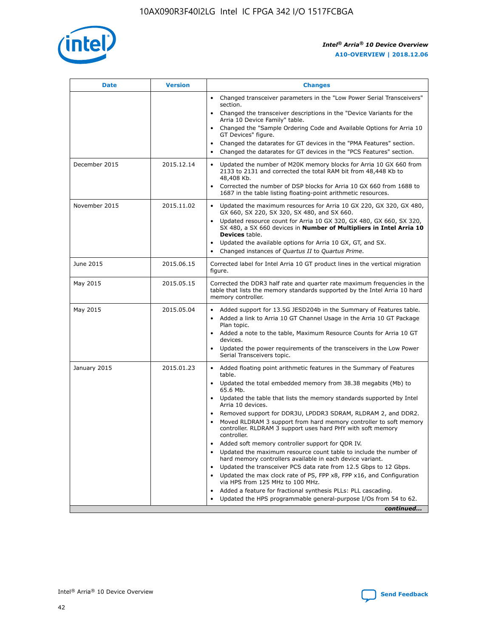

| <b>Date</b>   | <b>Version</b> | <b>Changes</b>                                                                                                                                                               |
|---------------|----------------|------------------------------------------------------------------------------------------------------------------------------------------------------------------------------|
|               |                | • Changed transceiver parameters in the "Low Power Serial Transceivers"<br>section.                                                                                          |
|               |                | • Changed the transceiver descriptions in the "Device Variants for the<br>Arria 10 Device Family" table.                                                                     |
|               |                | Changed the "Sample Ordering Code and Available Options for Arria 10<br>$\bullet$<br>GT Devices" figure.                                                                     |
|               |                | Changed the datarates for GT devices in the "PMA Features" section.                                                                                                          |
|               |                | Changed the datarates for GT devices in the "PCS Features" section.<br>$\bullet$                                                                                             |
| December 2015 | 2015.12.14     | Updated the number of M20K memory blocks for Arria 10 GX 660 from<br>2133 to 2131 and corrected the total RAM bit from 48,448 Kb to<br>48,408 Kb.                            |
|               |                | Corrected the number of DSP blocks for Arria 10 GX 660 from 1688 to<br>1687 in the table listing floating-point arithmetic resources.                                        |
| November 2015 | 2015.11.02     | Updated the maximum resources for Arria 10 GX 220, GX 320, GX 480,<br>$\bullet$<br>GX 660, SX 220, SX 320, SX 480, and SX 660.                                               |
|               |                | • Updated resource count for Arria 10 GX 320, GX 480, GX 660, SX 320,<br>SX 480, a SX 660 devices in Number of Multipliers in Intel Arria 10<br><b>Devices</b> table.        |
|               |                | Updated the available options for Arria 10 GX, GT, and SX.                                                                                                                   |
|               |                | Changed instances of Quartus II to Quartus Prime.<br>$\bullet$                                                                                                               |
| June 2015     | 2015.06.15     | Corrected label for Intel Arria 10 GT product lines in the vertical migration<br>figure.                                                                                     |
| May 2015      | 2015.05.15     | Corrected the DDR3 half rate and quarter rate maximum frequencies in the<br>table that lists the memory standards supported by the Intel Arria 10 hard<br>memory controller. |
| May 2015      | 2015.05.04     | • Added support for 13.5G JESD204b in the Summary of Features table.                                                                                                         |
|               |                | • Added a link to Arria 10 GT Channel Usage in the Arria 10 GT Package<br>Plan topic.                                                                                        |
|               |                | • Added a note to the table, Maximum Resource Counts for Arria 10 GT<br>devices.                                                                                             |
|               |                | • Updated the power requirements of the transceivers in the Low Power<br>Serial Transceivers topic.                                                                          |
| January 2015  | 2015.01.23     | • Added floating point arithmetic features in the Summary of Features<br>table.                                                                                              |
|               |                | • Updated the total embedded memory from 38.38 megabits (Mb) to<br>65.6 Mb.                                                                                                  |
|               |                | • Updated the table that lists the memory standards supported by Intel<br>Arria 10 devices.                                                                                  |
|               |                | Removed support for DDR3U, LPDDR3 SDRAM, RLDRAM 2, and DDR2.                                                                                                                 |
|               |                | Moved RLDRAM 3 support from hard memory controller to soft memory<br>controller. RLDRAM 3 support uses hard PHY with soft memory<br>controller.                              |
|               |                | Added soft memory controller support for QDR IV.<br>٠                                                                                                                        |
|               |                | Updated the maximum resource count table to include the number of<br>hard memory controllers available in each device variant.                                               |
|               |                | Updated the transceiver PCS data rate from 12.5 Gbps to 12 Gbps.<br>$\bullet$                                                                                                |
|               |                | Updated the max clock rate of PS, FPP x8, FPP x16, and Configuration<br>via HPS from 125 MHz to 100 MHz.                                                                     |
|               |                | Added a feature for fractional synthesis PLLs: PLL cascading.                                                                                                                |
|               |                | Updated the HPS programmable general-purpose I/Os from 54 to 62.<br>$\bullet$                                                                                                |
|               |                | continued                                                                                                                                                                    |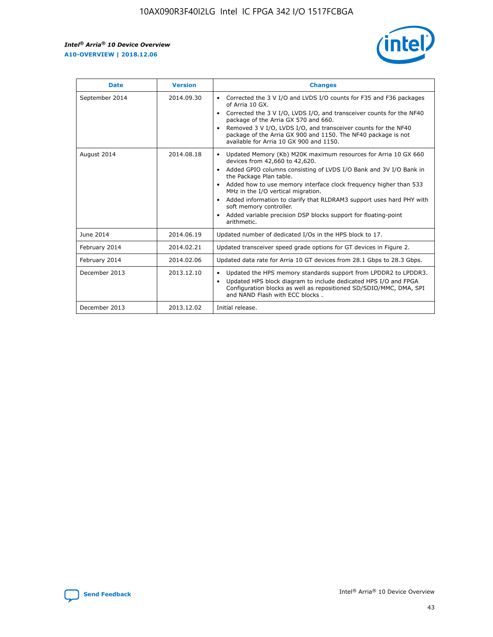r



| <b>Date</b>    | <b>Version</b> | <b>Changes</b>                                                                                                                                                                                                                                                                                                                                                                                                                                                                                                                                      |
|----------------|----------------|-----------------------------------------------------------------------------------------------------------------------------------------------------------------------------------------------------------------------------------------------------------------------------------------------------------------------------------------------------------------------------------------------------------------------------------------------------------------------------------------------------------------------------------------------------|
| September 2014 | 2014.09.30     | Corrected the 3 V I/O and LVDS I/O counts for F35 and F36 packages<br>$\bullet$<br>of Arria 10 GX.<br>Corrected the 3 V I/O, LVDS I/O, and transceiver counts for the NF40<br>$\bullet$<br>package of the Arria GX 570 and 660.<br>Removed 3 V I/O, LVDS I/O, and transceiver counts for the NF40<br>$\bullet$<br>package of the Arria GX 900 and 1150. The NF40 package is not<br>available for Arria 10 GX 900 and 1150.                                                                                                                          |
| August 2014    | 2014.08.18     | Updated Memory (Kb) M20K maximum resources for Arria 10 GX 660<br>devices from 42,660 to 42,620.<br>Added GPIO columns consisting of LVDS I/O Bank and 3V I/O Bank in<br>$\bullet$<br>the Package Plan table.<br>Added how to use memory interface clock frequency higher than 533<br>$\bullet$<br>MHz in the I/O vertical migration.<br>Added information to clarify that RLDRAM3 support uses hard PHY with<br>$\bullet$<br>soft memory controller.<br>Added variable precision DSP blocks support for floating-point<br>$\bullet$<br>arithmetic. |
| June 2014      | 2014.06.19     | Updated number of dedicated I/Os in the HPS block to 17.                                                                                                                                                                                                                                                                                                                                                                                                                                                                                            |
| February 2014  | 2014.02.21     | Updated transceiver speed grade options for GT devices in Figure 2.                                                                                                                                                                                                                                                                                                                                                                                                                                                                                 |
| February 2014  | 2014.02.06     | Updated data rate for Arria 10 GT devices from 28.1 Gbps to 28.3 Gbps.                                                                                                                                                                                                                                                                                                                                                                                                                                                                              |
| December 2013  | 2013.12.10     | Updated the HPS memory standards support from LPDDR2 to LPDDR3.<br>Updated HPS block diagram to include dedicated HPS I/O and FPGA<br>$\bullet$<br>Configuration blocks as well as repositioned SD/SDIO/MMC, DMA, SPI<br>and NAND Flash with ECC blocks.                                                                                                                                                                                                                                                                                            |
| December 2013  | 2013.12.02     | Initial release.                                                                                                                                                                                                                                                                                                                                                                                                                                                                                                                                    |